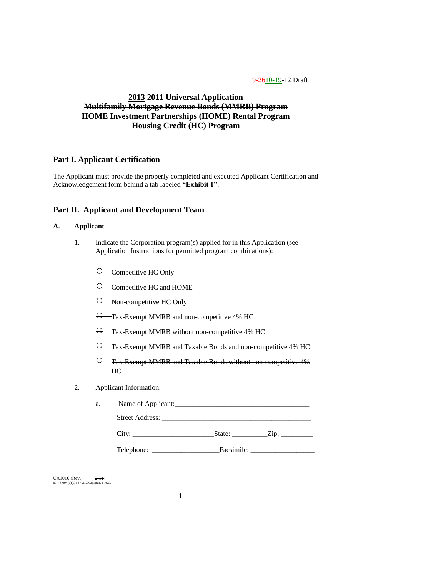## **2013 2011 Universal Application Multifamily Mortgage Revenue Bonds (MMRB) Program HOME Investment Partnerships (HOME) Rental Program Housing Credit (HC) Program**

## **Part I. Applicant Certification**

The Applicant must provide the properly completed and executed Applicant Certification and Acknowledgement form behind a tab labeled **"Exhibit 1"**.

## **Part II. Applicant and Development Team**

## **A. Applicant**

- 1. Indicate the Corporation program(s) applied for in this Application (see Application Instructions for permitted program combinations):
	- Competitive HC Only
	- Competitive HC and HOME
	- Non-competitive HC Only
	- $\Theta$  Tax-Exempt MMRB and non-competitive 4% HC
	- $\Theta$  Tax-Exempt MMRB without non-competitive 4% HC
	- $\Theta$  Tax-Exempt MMRB and Taxable Bonds and non-competitive 4% HC
	- $\Theta$  Tax-Exempt MMRB and Taxable Bonds without non-competitive 4% HC
- 2. Applicant Information:

| a. | Name of Applicant: |
|----|--------------------|
|    | Street Address:    |

| ı |  |  |
|---|--|--|
|   |  |  |

Telephone: \_\_\_\_\_\_\_\_\_\_\_\_\_\_\_\_\_\_\_Facsimile: \_\_\_\_\_\_\_\_\_\_\_\_\_\_\_\_\_\_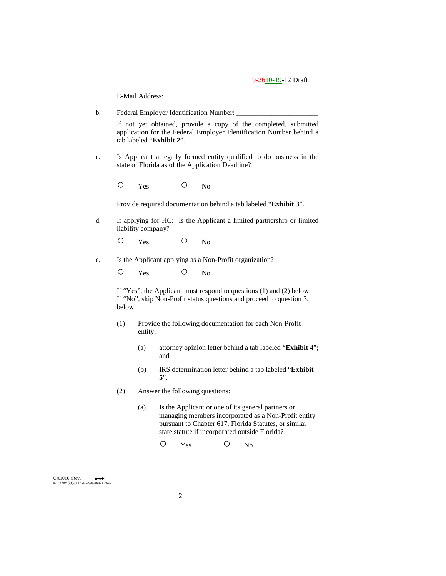|                                                                                                                                                                    |    |        | E-Mail Address:    |            |     |                                                  |   |                                                                                                                                                                                                                       |  |
|--------------------------------------------------------------------------------------------------------------------------------------------------------------------|----|--------|--------------------|------------|-----|--------------------------------------------------|---|-----------------------------------------------------------------------------------------------------------------------------------------------------------------------------------------------------------------------|--|
|                                                                                                                                                                    | b. |        |                    |            |     | Federal Employer Identification Number: _        |   |                                                                                                                                                                                                                       |  |
| If not yet obtained, provide a copy of the completed, submitted<br>application for the Federal Employer Identification Number behind a<br>tab labeled "Exhibit 2". |    |        |                    |            |     |                                                  |   |                                                                                                                                                                                                                       |  |
|                                                                                                                                                                    | c. |        |                    |            |     | state of Florida as of the Application Deadline? |   | Is Applicant a legally formed entity qualified to do business in the                                                                                                                                                  |  |
|                                                                                                                                                                    |    | Ο      | Yes                |            | O   | N <sub>o</sub>                                   |   |                                                                                                                                                                                                                       |  |
|                                                                                                                                                                    |    |        |                    |            |     |                                                  |   | Provide required documentation behind a tab labeled "Exhibit 3".                                                                                                                                                      |  |
|                                                                                                                                                                    | d. |        | liability company? |            |     |                                                  |   | If applying for HC: Is the Applicant a limited partnership or limited                                                                                                                                                 |  |
|                                                                                                                                                                    |    | Ο      | Yes                |            | O   | No                                               |   |                                                                                                                                                                                                                       |  |
|                                                                                                                                                                    | e. |        |                    |            |     |                                                  |   | Is the Applicant applying as a Non-Profit organization?                                                                                                                                                               |  |
|                                                                                                                                                                    |    | Ο      | Yes                |            | O   | N <sub>o</sub>                                   |   |                                                                                                                                                                                                                       |  |
|                                                                                                                                                                    |    | below. |                    |            |     |                                                  |   | If "Yes", the Applicant must respond to questions $(1)$ and $(2)$ below.<br>If "No", skip Non-Profit status questions and proceed to question 3.                                                                      |  |
|                                                                                                                                                                    |    | (1)    | entity:            |            |     |                                                  |   | Provide the following documentation for each Non-Profit                                                                                                                                                               |  |
|                                                                                                                                                                    |    |        | (a)                | and        |     |                                                  |   | attorney opinion letter behind a tab labeled "Exhibit 4";                                                                                                                                                             |  |
|                                                                                                                                                                    |    |        | (b)                | $5$ ".     |     |                                                  |   | IRS determination letter behind a tab labeled "Exhibit                                                                                                                                                                |  |
|                                                                                                                                                                    |    | (2)    |                    |            |     | Answer the following questions:                  |   |                                                                                                                                                                                                                       |  |
|                                                                                                                                                                    |    |        | (a)                |            |     |                                                  |   | Is the Applicant or one of its general partners or<br>managing members incorporated as a Non-Profit entity<br>pursuant to Chapter 617, Florida Statutes, or similar<br>state statute if incorporated outside Florida? |  |
|                                                                                                                                                                    |    |        |                    | $\bigcirc$ | Yes |                                                  | Ω | No                                                                                                                                                                                                                    |  |
|                                                                                                                                                                    |    |        |                    |            |     |                                                  |   |                                                                                                                                                                                                                       |  |
| UA1016 (Rev. $\_\_\_\_$ 2-11)<br>67-48.004(1)(a); 67-21.003(1)(a), F.A.C.                                                                                          |    |        |                    |            |     |                                                  |   |                                                                                                                                                                                                                       |  |

 $\begin{array}{c} \hline \end{array}$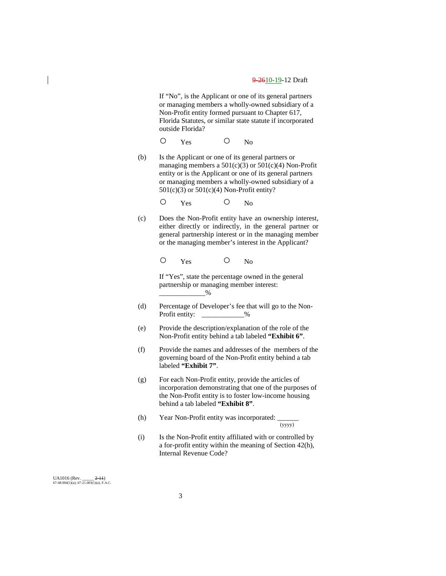If "No", is the Applicant or one of its general partners or managing members a wholly-owned subsidiary of a Non-Profit entity formed pursuant to Chapter 617, Florida Statutes, or similar state statute if incorporated outside Florida?

O Yes O No

(b) Is the Applicant or one of its general partners or managing members a  $501(c)(3)$  or  $501(c)(4)$  Non-Profit entity or is the Applicant or one of its general partners or managing members a wholly-owned subsidiary of a  $501(c)(3)$  or  $501(c)(4)$  Non-Profit entity?

O Yes O No

(c) Does the Non-Profit entity have an ownership interest, either directly or indirectly, in the general partner or general partnership interest or in the managing member or the managing member's interest in the Applicant?

O Yes O No

If "Yes", state the percentage owned in the general partnership or managing member interest:  $-$ %

- (d) Percentage of Developer's fee that will go to the Non-Profit entity:  $\frac{9}{6}$
- (e) Provide the description/explanation of the role of the Non-Profit entity behind a tab labeled **"Exhibit 6"**.
- (f) Provide the names and addresses of the members of the governing board of the Non-Profit entity behind a tab labeled **"Exhibit 7"**.
- (g) For each Non-Profit entity, provide the articles of incorporation demonstrating that one of the purposes of the Non-Profit entity is to foster low-income housing behind a tab labeled **"Exhibit 8"**.
- (h) Year Non-Profit entity was incorporated:  $\frac{1}{(yyyy)}$

(i) Is the Non-Profit entity affiliated with or controlled by a for-profit entity within the meaning of Section 42(h), Internal Revenue Code?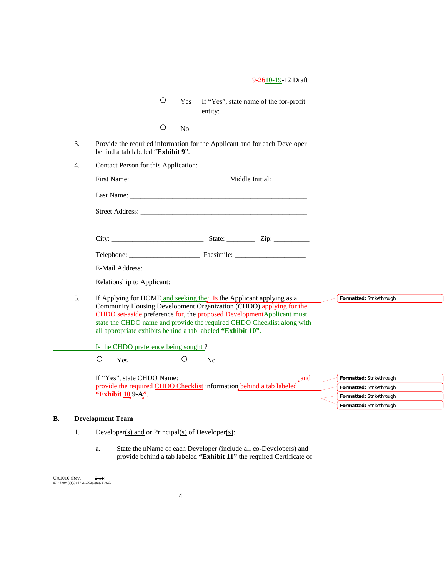|  |  |  |  |  | 9 2610-19-12 Draft |
|--|--|--|--|--|--------------------|
|--|--|--|--|--|--------------------|

|                  |                                                             | $\circ$    | <b>Yes</b>     | If "Yes", state name of the for-profit                                                                                                                                                                                                                                                               |                          |
|------------------|-------------------------------------------------------------|------------|----------------|------------------------------------------------------------------------------------------------------------------------------------------------------------------------------------------------------------------------------------------------------------------------------------------------------|--------------------------|
|                  |                                                             | $\bigcirc$ | N <sub>o</sub> |                                                                                                                                                                                                                                                                                                      |                          |
| 3.               | behind a tab labeled "Exhibit 9".                           |            |                | Provide the required information for the Applicant and for each Developer                                                                                                                                                                                                                            |                          |
| $\overline{4}$ . | Contact Person for this Application:                        |            |                |                                                                                                                                                                                                                                                                                                      |                          |
|                  |                                                             |            |                |                                                                                                                                                                                                                                                                                                      |                          |
|                  |                                                             |            |                |                                                                                                                                                                                                                                                                                                      |                          |
|                  |                                                             |            |                |                                                                                                                                                                                                                                                                                                      |                          |
|                  |                                                             |            |                |                                                                                                                                                                                                                                                                                                      |                          |
|                  |                                                             |            |                | Telephone: Facsimile: Facsimile:                                                                                                                                                                                                                                                                     |                          |
|                  |                                                             |            |                |                                                                                                                                                                                                                                                                                                      |                          |
|                  |                                                             |            |                |                                                                                                                                                                                                                                                                                                      |                          |
| 5.               | all appropriate exhibits behind a tab labeled "Exhibit 10". |            |                | If Applying for HOME and seeking the: Is the Applicant applying as a<br>Community Housing Development Organization (CHDO) applying for the<br><b>CHDO</b> set-aside-preference-for, the proposed DevelopmentApplicant must<br>state the CHDO name and provide the required CHDO Checklist along with | Formatted: Strikethrough |
|                  | Is the CHDO preference being sought?                        |            |                |                                                                                                                                                                                                                                                                                                      |                          |
|                  | O<br>Yes                                                    |            | O              | N <sub>o</sub>                                                                                                                                                                                                                                                                                       |                          |
|                  | If "Yes", state CHDO Name:                                  |            |                | and                                                                                                                                                                                                                                                                                                  | Formatted: Strikethrough |
|                  |                                                             |            |                | provide the required CHDO Checklist information behind a tab labeled                                                                                                                                                                                                                                 | Formatted: Strikethrough |
|                  | "Exhibit 10 9-A".                                           |            |                |                                                                                                                                                                                                                                                                                                      | Formatted: Strikethrough |
|                  |                                                             |            |                |                                                                                                                                                                                                                                                                                                      | Formatted: Strikethrough |

## **B. Development Team**

 $\overline{\phantom{a}}$ 

- 1. Developer(s) and  $er$  Principal(s) of Developer(s):
	- a. State the nName of each Developer (include all co-Developers) and provide behind a tab labeled **"Exhibit 11"** the required Certificate of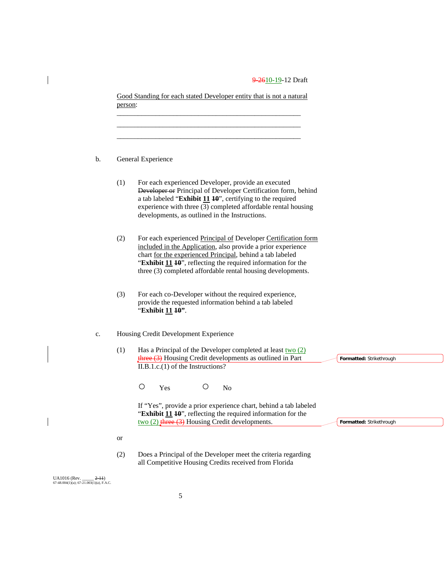|                                                              | person:   | Good Standing for each stated Developer entity that is not a natural                                                                                                                                                                                                                                                       |                          |
|--------------------------------------------------------------|-----------|----------------------------------------------------------------------------------------------------------------------------------------------------------------------------------------------------------------------------------------------------------------------------------------------------------------------------|--------------------------|
| b.                                                           |           | General Experience                                                                                                                                                                                                                                                                                                         |                          |
|                                                              | (1)       | For each experienced Developer, provide an executed<br>Developer or Principal of Developer Certification form, behind<br>a tab labeled "Exhibit $11$ $10$ ", certifying to the required<br>experience with three (3) completed affordable rental housing<br>developments, as outlined in the Instructions.                 |                          |
|                                                              | (2)       | For each experienced Principal of Developer Certification form<br>included in the Application, also provide a prior experience<br>chart for the experienced Principal, behind a tab labeled<br>"Exhibit 11 10", reflecting the required information for the<br>three (3) completed affordable rental housing developments. |                          |
|                                                              | (3)       | For each co-Developer without the required experience,<br>provide the requested information behind a tab labeled<br>"Exhibit 11 10".                                                                                                                                                                                       |                          |
| $\mathbf{c}.$                                                |           | Housing Credit Development Experience                                                                                                                                                                                                                                                                                      |                          |
|                                                              | (1)       | Has a Principal of the Developer completed at least $two(2)$<br>three (3) Housing Credit developments as outlined in Part<br>$II.B.1.c.(1)$ of the Instructions?                                                                                                                                                           | Formatted: Strikethrough |
|                                                              |           | $\bigcirc$<br>$\bigcirc$<br>Yes<br>N <sub>o</sub>                                                                                                                                                                                                                                                                          |                          |
|                                                              |           | If "Yes", provide a prior experience chart, behind a tab labeled<br>"Exhibit 11 10", reflecting the required information for the<br>$\frac{1}{2}$ (2) three (3) Housing Credit developments.                                                                                                                               | Formatted: Strikethrough |
|                                                              | <b>or</b> |                                                                                                                                                                                                                                                                                                                            |                          |
|                                                              | (2)       | Does a Principal of the Developer meet the criteria regarding<br>all Competitive Housing Credits received from Florida                                                                                                                                                                                                     |                          |
| UA1016 (Rev. ___<br>67-48.004(1)(a); 67-21.003(1)(a), F.A.C. | $(-2-11)$ |                                                                                                                                                                                                                                                                                                                            |                          |

 $\begin{array}{c} \hline \end{array}$ 

 $\overline{\phantom{a}}$ 

 $\begin{array}{c} \hline \end{array}$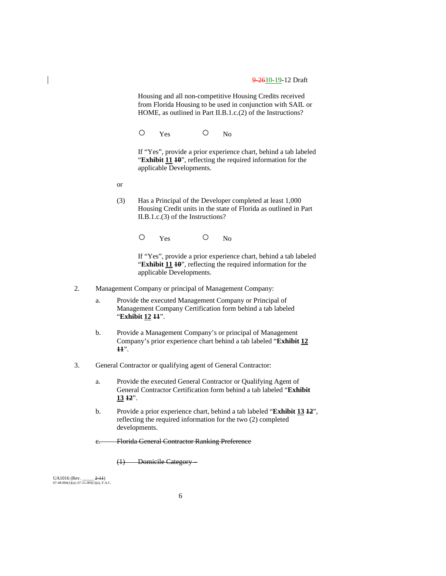Housing and all non-competitive Housing Credits received from Florida Housing to be used in conjunction with SAIL or HOME, as outlined in Part II.B.1.c.(2) of the Instructions?

O Yes O No

If "Yes", provide a prior experience chart, behind a tab labeled "**Exhibit 11 10**", reflecting the required information for the applicable Developments.

- or
- (3) Has a Principal of the Developer completed at least 1,000 Housing Credit units in the state of Florida as outlined in Part II.B.1.c.(3) of the Instructions?

O Yes O No

If "Yes", provide a prior experience chart, behind a tab labeled "**Exhibit 11 <sup>10</sup>**", reflecting the required information for the applicable Developments.

- 2. Management Company or principal of Management Company:
	- a. Provide the executed Management Company or Principal of Management Company Certification form behind a tab labeled "**Exhibit 12 11**".
	- b. Provide a Management Company's or principal of Management Company's prior experience chart behind a tab labeled "**Exhibit 12 11**".
- 3. General Contractor or qualifying agent of General Contractor:
	- a. Provide the executed General Contractor or Qualifying Agent of General Contractor Certification form behind a tab labeled "**Exhibit 13 12**".
	- b. Provide a prior experience chart, behind a tab labeled "**Exhibit 13 12**", reflecting the required information for the two (2) completed developments.

Florida General Contractor Ranking Preference

(1) Domicile Category –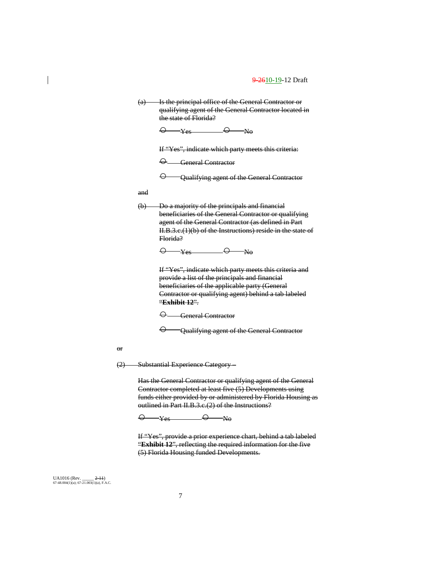(a) Is the principal office of the General Contractor or qualifying agent of the General Contractor located in the state of Florida?

 $\Theta$   $\rightarrow$  Yes  $\Theta$  No

If "Yes", indicate which party meets this criteria:

○ General Contractor

 $\Theta$  Qualifying agent of the General Contractor

and

(b) Do a majority of the principals and financial beneficiaries of the General Contractor or qualifying agent of the General Contractor (as defined in Part II.B.3.c.(1)(b) of the Instructions) reside in the state of Florida?

 $\Theta$   $\rightarrow$   $\text{Yes}$   $\Theta$   $\rightarrow$   $\text{No}$ 

If "Yes", indicate which party meets this criteria and provide a list of the principals and financial beneficiaries of the applicable party (General Contractor or qualifying agent) behind a tab labeled "**Exhibit 12**".

 $\Theta$  General Contractor

 $\Theta$  Qualifying agent of the General Contractor

or

(2) Substantial Experience Category –

Has the General Contractor or qualifying agent of the General Contractor completed at least five (5) Developments using funds either provided by or administered by Florida Housing as outlined in Part II.B.3.c.(2) of the Instructions?

 $\Theta$   $\rightarrow$   $\text{Yes}$   $\Theta$   $\rightarrow$   $\text{No}$ 

If "Yes", provide a prior experience chart, behind a tab labeled "**Exhibit 12**", reflecting the required information for the five (5) Florida Housing funded Developments.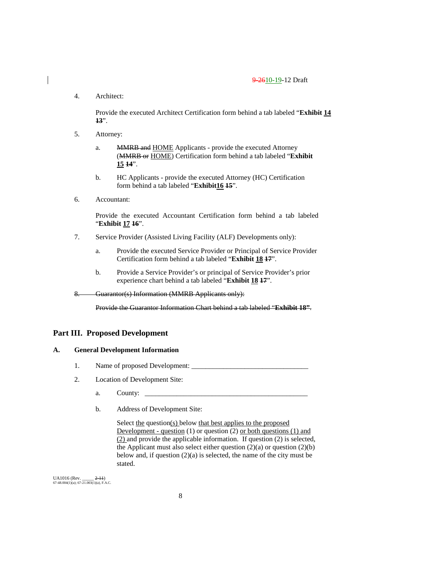4. Architect:

Provide the executed Architect Certification form behind a tab labeled "**Exhibit 14 13**".

- 5. Attorney:
	- a. MMRB and HOME Applicants provide the executed Attorney (MMRB or HOME) Certification form behind a tab labeled "**Exhibit 15 14**".
	- b. HC Applicants provide the executed Attorney (HC) Certification form behind a tab labeled "**Exhibit16 15**".
- 6. Accountant:

Provide the executed Accountant Certification form behind a tab labeled "**Exhibit 17 16**".

- 7. Service Provider (Assisted Living Facility (ALF) Developments only):
	- a. Provide the executed Service Provider or Principal of Service Provider Certification form behind a tab labeled "**Exhibit 18 17**".
	- b. Provide a Service Provider's or principal of Service Provider's prior experience chart behind a tab labeled "**Exhibit 18 17**".
- 8. Guarantor(s) Information (MMRB Applicants only):

Provide the Guarantor Information Chart behind a tab labeled "**Exhibit 18"**.

## **Part III. Proposed Development**

### **A. General Development Information**

- 1. Name of proposed Development:
- 2. Location of Development Site:
	- a. County:
	- b. Address of Development Site:

Select the question(s) below that best applies to the proposed Development - question (1) or question (2) or both questions (1) and (2) and provide the applicable information. If question (2) is selected, the Applicant must also select either question  $(2)(a)$  or question  $(2)(b)$ below and, if question  $(2)(a)$  is selected, the name of the city must be stated.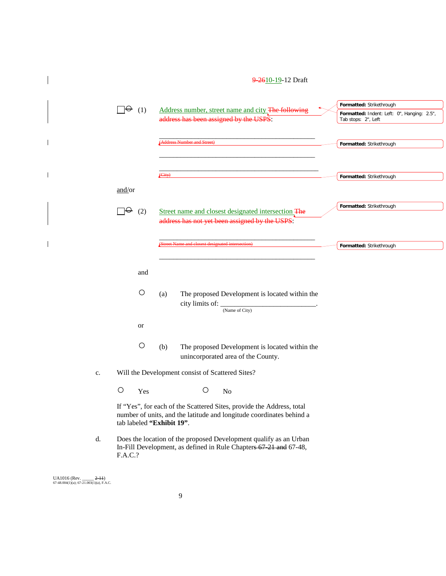# 9-2610-19-12 Draft  $\Box \Theta$  (1) Address number, street name and city The following  $\frac{1}{\text{address}}$  has been assigned by the USPS: \_\_\_\_\_\_\_\_\_\_\_\_\_\_\_\_\_\_\_\_\_\_\_\_\_\_\_\_\_\_\_\_\_\_\_\_\_\_\_\_\_\_\_\_ (Address Number and Street) \_\_\_\_\_\_\_\_\_\_\_\_\_\_\_\_\_\_\_\_\_\_\_\_\_\_\_\_\_\_\_\_\_\_\_\_\_\_\_\_\_\_\_\_ \_\_\_\_\_\_\_\_\_\_\_\_\_\_\_\_\_\_\_\_\_\_\_\_\_\_\_\_\_\_\_\_\_\_\_\_\_\_\_\_\_\_\_\_\_ (City) and/or  $\Box \Theta$  (2) Street name and closest designated intersection The address has not yet been assigned by the USPS: \_\_\_\_\_\_\_\_\_\_\_\_\_\_\_\_\_\_\_\_\_\_\_\_\_\_\_\_\_\_\_\_\_\_\_\_\_\_\_\_\_\_\_\_ (Street Name and closest designated intersection) \_\_\_\_\_\_\_\_\_\_\_\_\_\_\_\_\_\_\_\_\_\_\_\_\_\_\_\_\_\_\_\_\_\_\_\_\_\_\_\_\_\_\_\_ and ○ (a) The proposed Development is located within the city limits of:  $\frac{1}{\text{(Name of City)}}$ . or ○ (b) The proposed Development is located within the unincorporated area of the County. c. Will the Development consist of Scattered Sites? O Yes O No If "Yes", for each of the Scattered Sites, provide the Address, total number of units, and the latitude and longitude coordinates behind a tab labeled **"Exhibit 19"**. d. Does the location of the proposed Development qualify as an Urban In-Fill Development, as defined in Rule Chapters 67-21 and 67-48, F.A.C.? **Formatted:** Indent: Left: 0", Hanging: 2.5", Tab stops: 2", Left **Formatted:** Strikethrough **Formatted:** Strikethrough **Formatted:** Strikethrough **Formatted:** Strikethrough **Formatted:** Strikethrough

UA1016 (Rev. \_\_\_\_\_ <del>2-11</del>)<br>67-48.004(1)(a); 67-21.003(1)(a), F.A.C.

 $\overline{\phantom{a}}$ 

 $\mathbf{I}$ 

 $\overline{\phantom{a}}$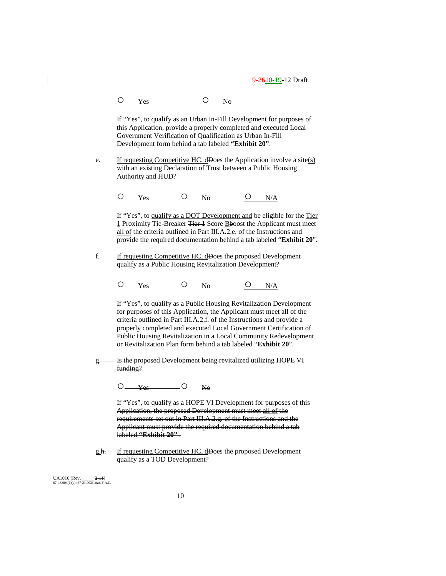O Yes O No

If "Yes", to qualify as an Urban In-Fill Development for purposes of this Application, provide a properly completed and executed Local Government Verification of Qualification as Urban In-Fill Development form behind a tab labeled **"Exhibit 20"**.

e. If requesting Competitive HC, dDoes the Application involve a site( $s$ ) with an existing Declaration of Trust between a Public Housing Authority and HUD?

O Yes O No <u>O N/A</u>

If "Yes", to qualify as a DOT Development and be eligible for the Tier 1 Proximity Tie-Breaker Tier 1 Score Bboost the Applicant must meet all of the criteria outlined in Part III.A.2.e. of the Instructions and provide the required documentation behind a tab labeled "**Exhibit 20**".

- f. If requesting Competitive HC, dDoes the proposed Development qualify as a Public Housing Revitalization Development?
	- $O$  Yes  $O$  No  $O$  N/A

If "Yes", to qualify as a Public Housing Revitalization Development for purposes of this Application, the Applicant must meet all of the criteria outlined in Part III.A.2.f. of the Instructions and provide a properly completed and executed Local Government Certification of Public Housing Revitalization in a Local Community Redevelopment or Revitalization Plan form behind a tab labeled "**Exhibit 20**".

g. Is the proposed Development being revitalized utilizing HOPE VI funding?

 $\Theta$   $\qquad \qquad V_{es}$   $\qquad \qquad \Theta$   $\qquad \qquad$  No

If "Yes", to qualify as a HOPE VI Development for purposes of this Application, the proposed Development must meet all of the requirements set out in Part III.A.2.g. of the Instructions and the Applicant must provide the required documentation behind a tab labeled **"Exhibit 20"** .

g.h. If requesting Competitive HC, dDoes the proposed Development qualify as a TOD Development?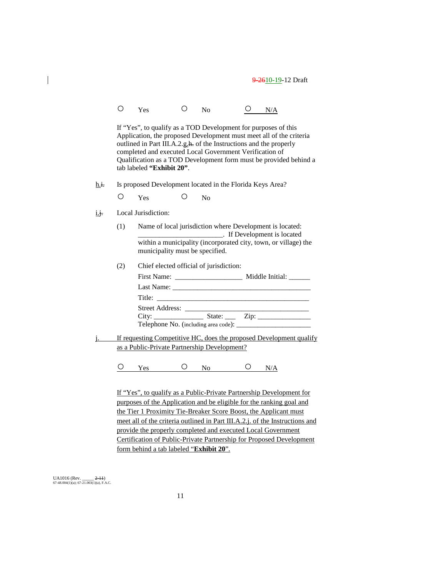|                | $\left(\right)$  | Yes                                     | $\bigcirc$ | N <sub>0</sub>                                                                                                                                                                                  |   | N/A                                                                                                                                      |
|----------------|------------------|-----------------------------------------|------------|-------------------------------------------------------------------------------------------------------------------------------------------------------------------------------------------------|---|------------------------------------------------------------------------------------------------------------------------------------------|
|                |                  | tab labeled "Exhibit 20".               |            | If "Yes", to qualify as a TOD Development for purposes of this<br>outlined in Part III.A.2.g.h. of the Instructions and the properly<br>completed and executed Local Government Verification of |   | Application, the proposed Development must meet all of the criteria<br>Qualification as a TOD Development form must be provided behind a |
| h.i.           |                  |                                         |            | Is proposed Development located in the Florida Keys Area?                                                                                                                                       |   |                                                                                                                                          |
|                | О                | <b>Yes</b>                              | O          | No                                                                                                                                                                                              |   |                                                                                                                                          |
| i.j.           |                  | Local Jurisdiction:                     |            |                                                                                                                                                                                                 |   |                                                                                                                                          |
|                | (1)              |                                         |            | Name of local jurisdiction where Development is located:<br><b>Example 2</b> If Development is located                                                                                          |   | within a municipality (incorporated city, town, or village) the                                                                          |
|                |                  | municipality must be specified.         |            |                                                                                                                                                                                                 |   |                                                                                                                                          |
|                | (2)              |                                         |            | Chief elected official of jurisdiction:                                                                                                                                                         |   |                                                                                                                                          |
|                |                  |                                         |            |                                                                                                                                                                                                 |   |                                                                                                                                          |
|                |                  |                                         |            |                                                                                                                                                                                                 |   |                                                                                                                                          |
|                |                  |                                         |            | Title:                                                                                                                                                                                          |   |                                                                                                                                          |
|                |                  |                                         |            |                                                                                                                                                                                                 |   |                                                                                                                                          |
|                |                  |                                         |            |                                                                                                                                                                                                 |   |                                                                                                                                          |
| $\mathbf{i}$ . |                  |                                         |            |                                                                                                                                                                                                 |   | If requesting Competitive HC, does the proposed Development qualify                                                                      |
|                |                  |                                         |            | as a Public-Private Partnership Development?                                                                                                                                                    |   |                                                                                                                                          |
|                | $\left( \right)$ | Yes                                     | O –        | No n                                                                                                                                                                                            | Ő | N/A                                                                                                                                      |
|                |                  |                                         |            |                                                                                                                                                                                                 |   | If "Yes", to qualify as a Public-Private Partnership Development for                                                                     |
|                |                  |                                         |            |                                                                                                                                                                                                 |   | purposes of the Application and be eligible for the ranking goal and                                                                     |
|                |                  |                                         |            | the Tier 1 Proximity Tie-Breaker Score Boost, the Applicant must                                                                                                                                |   |                                                                                                                                          |
|                |                  |                                         |            |                                                                                                                                                                                                 |   | meet all of the criteria outlined in Part III.A.2.j. of the Instructions and                                                             |
|                |                  |                                         |            | provide the properly completed and executed Local Government                                                                                                                                    |   |                                                                                                                                          |
|                |                  |                                         |            |                                                                                                                                                                                                 |   | Certification of Public-Private Partnership for Proposed Development                                                                     |
|                |                  | form behind a tab labeled "Exhibit 20". |            |                                                                                                                                                                                                 |   |                                                                                                                                          |
|                |                  |                                         |            |                                                                                                                                                                                                 |   |                                                                                                                                          |

UA1016 (Rev. \_\_\_\_\_ <del>2-11</del>)<br>67-48.004(1)(a); 67-21.003(1)(a), F.A.C.

 $\begin{array}{c} \hline \end{array}$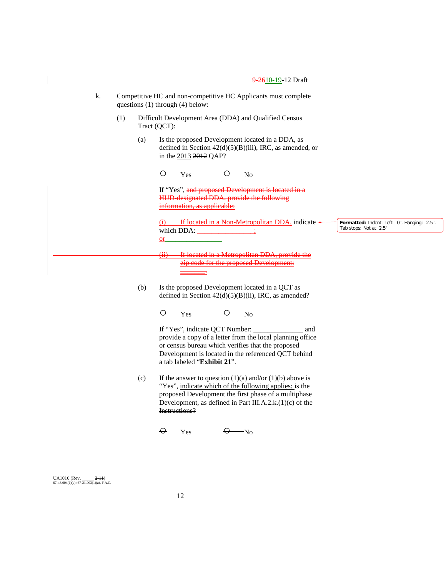- k. Competitive HC and non-competitive HC Applicants must complete questions (1) through (4) below:
	- (1) Difficult Development Area (DDA) and Qualified Census Tract (QCT):
		- (a) Is the proposed Development located in a DDA, as defined in Section 42(d)(5)(B)(iii), IRC, as amended, or in the 2013 2012 QAP?

O Yes O No If "Yes", and proposed Development is located in a HUD-designated DDA, provide the following information, as applicable: -If located in a Non-Metropolitan DDA, indicate  $\triangleleft$ which DDA:  $\frac{$  $e$ <sub>r</sub> (ii) If located in a Metropolitan DDA, provide the zip code for the proposed Development: \_\_\_\_\_\_\_. (b) Is the proposed Development located in a QCT as **Formatted:** Indent: Left: 0", Hanging: 2.5", Tab stops: Not at 2.5"

defined in Section 42(d)(5)(B)(ii), IRC, as amended?

O Yes O No

If "Yes", indicate QCT Number: \_\_\_\_\_\_\_\_\_\_\_\_\_\_ and provide a copy of a letter from the local planning office or census bureau which verifies that the proposed Development is located in the referenced QCT behind a tab labeled "**Exhibit 21**".

(c) If the answer to question  $(1)(a)$  and/or  $(1)(b)$  above is "Yes", indicate which of the following applies: is the proposed Development the first phase of a multiphase Development, as defined in Part III.A.2.k.(1)(c) of the Instructions?

 $\Theta$  Yes  $\Theta$  No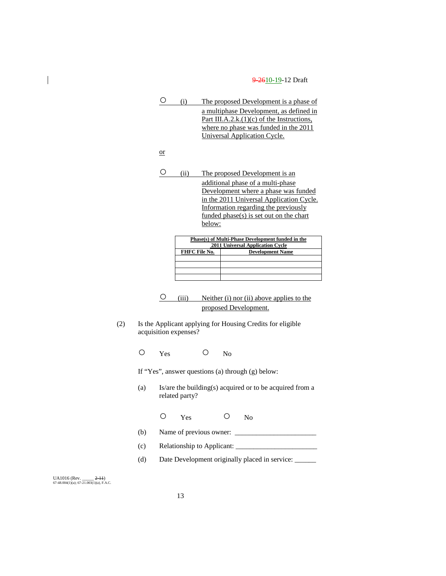○ (i) The proposed Development is a phase of a multiphase Development, as defined in Part III.A.2.k.(1)(c) of the Instructions, where no phase was funded in the 2011 Universal Application Cycle.

or

○ (ii) The proposed Development is an additional phase of a multi-phase Development where a phase was funded in the 2011 Universal Application Cycle. Information regarding the previously funded phase(s) is set out on the chart below:

| Phase(s) of Multi-Phase Development funded in the |                         |  |  |  |  |
|---------------------------------------------------|-------------------------|--|--|--|--|
| 2011 Universal Application Cycle                  |                         |  |  |  |  |
| FHFC File No.                                     | <b>Development Name</b> |  |  |  |  |
|                                                   |                         |  |  |  |  |
|                                                   |                         |  |  |  |  |
|                                                   |                         |  |  |  |  |
|                                                   |                         |  |  |  |  |

- $\overline{O}$  (iii) Neither (i) nor (ii) above applies to the proposed Development.
- (2) Is the Applicant applying for Housing Credits for eligible acquisition expenses?

O Yes O No

If "Yes", answer questions (a) through (g) below:

(a) Is/are the building(s) acquired or to be acquired from a related party?

O Yes O No

- (b) Name of previous owner:  $\frac{1}{2}$  Name of previous owner:  $\frac{1}{2}$
- (c) Relationship to Applicant: \_\_\_\_\_\_\_\_\_\_\_\_\_\_\_\_\_\_\_\_\_\_\_
- (d) Date Development originally placed in service: \_\_\_\_\_\_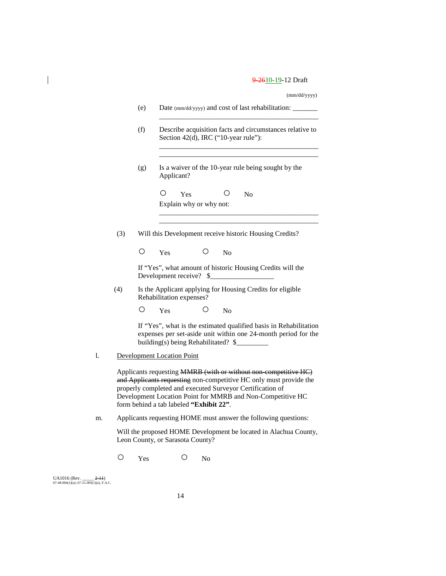(mm/dd/yyyy)

|    |     | (e)             |                                                                                                  |     |                 |                | Date (mm/dd/yyyy) and cost of last rehabilitation: ______                                                                                                                                                                                                        |  |  |
|----|-----|-----------------|--------------------------------------------------------------------------------------------------|-----|-----------------|----------------|------------------------------------------------------------------------------------------------------------------------------------------------------------------------------------------------------------------------------------------------------------------|--|--|
|    |     | (f)             | Describe acquisition facts and circumstances relative to<br>Section 42(d), IRC ("10-year rule"): |     |                 |                |                                                                                                                                                                                                                                                                  |  |  |
|    |     | (g)             | Applicant?                                                                                       |     |                 |                | Is a waiver of the 10-year rule being sought by the                                                                                                                                                                                                              |  |  |
|    |     |                 | Ω<br>Explain why or why not:                                                                     | Yes |                 |                | N <sub>0</sub>                                                                                                                                                                                                                                                   |  |  |
|    | (3) |                 |                                                                                                  |     |                 |                | Will this Development receive historic Housing Credits?                                                                                                                                                                                                          |  |  |
|    |     | Ő               | Yes                                                                                              |     | Ő               | N <sub>0</sub> |                                                                                                                                                                                                                                                                  |  |  |
|    |     |                 | Development receive?                                                                             |     | \$              |                | If "Yes", what amount of historic Housing Credits will the                                                                                                                                                                                                       |  |  |
|    | (4) |                 | Rehabilitation expenses?                                                                         |     |                 |                | Is the Applicant applying for Housing Credits for eligible                                                                                                                                                                                                       |  |  |
|    |     | $\left(\right)$ | Yes                                                                                              |     | $\left(\right)$ | No             |                                                                                                                                                                                                                                                                  |  |  |
|    |     |                 | building(s) being Rehabilitated? \$                                                              |     |                 |                | If "Yes", what is the estimated qualified basis in Rehabilitation<br>expenses per set-aside unit within one 24-month period for the                                                                                                                              |  |  |
| l. |     |                 | <b>Development Location Point</b>                                                                |     |                 |                |                                                                                                                                                                                                                                                                  |  |  |
|    |     |                 | form behind a tab labeled "Exhibit 22".                                                          |     |                 |                | Applicants requesting MMRB (with or without non-competitive HC)<br>and Applicants requesting non-competitive HC only must provide the<br>properly completed and executed Surveyor Certification of<br>Development Location Point for MMRB and Non-Competitive HC |  |  |
| m. |     |                 |                                                                                                  |     |                 |                | Applicants requesting HOME must answer the following questions:                                                                                                                                                                                                  |  |  |
|    |     |                 | Leon County, or Sarasota County?                                                                 |     |                 |                | Will the proposed HOME Development be located in Alachua County,                                                                                                                                                                                                 |  |  |
|    | Ω   | Yes             |                                                                                                  | ( ) | No              |                |                                                                                                                                                                                                                                                                  |  |  |

UA1016 (Rev. \_\_\_\_\_ <del>2-11</del>)<br>67-48.004(1)(a); 67-21.003(1)(a), F.A.C.

 $\begin{array}{c} \hline \end{array}$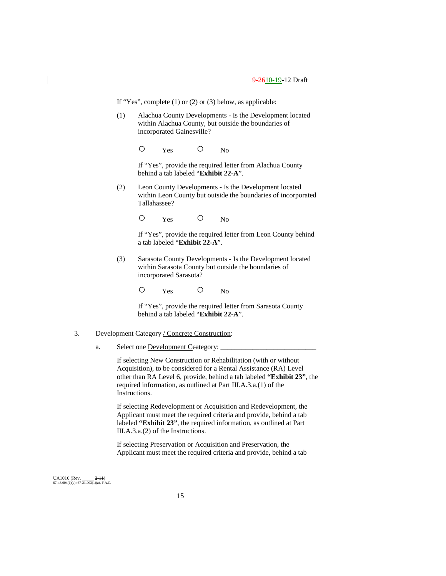If "Yes", complete (1) or (2) or (3) below, as applicable:

(1) Alachua County Developments - Is the Development located within Alachua County, but outside the boundaries of incorporated Gainesville?

O Yes O No

If "Yes", provide the required letter from Alachua County behind a tab labeled "**Exhibit 22-A**".

(2) Leon County Developments - Is the Development located within Leon County but outside the boundaries of incorporated Tallahassee?

O Yes O No

If "Yes", provide the required letter from Leon County behind a tab labeled "**Exhibit 22-A**".

(3) Sarasota County Developments - Is the Development located within Sarasota County but outside the boundaries of incorporated Sarasota?

O Yes O No

If "Yes", provide the required letter from Sarasota County behind a tab labeled "**Exhibit 22-A**".

#### 3. Development Category / Concrete Construction:

a. Select one **Development Ceategory:** 

If selecting New Construction or Rehabilitation (with or without Acquisition), to be considered for a Rental Assistance (RA) Level other than RA Level 6, provide, behind a tab labeled **"Exhibit 23"**, the required information, as outlined at Part III.A.3.a.(1) of the Instructions.

If selecting Redevelopment or Acquisition and Redevelopment, the Applicant must meet the required criteria and provide, behind a tab labeled **"Exhibit 23"**, the required information, as outlined at Part III.A.3.a.(2) of the Instructions.

If selecting Preservation or Acquisition and Preservation, the Applicant must meet the required criteria and provide, behind a tab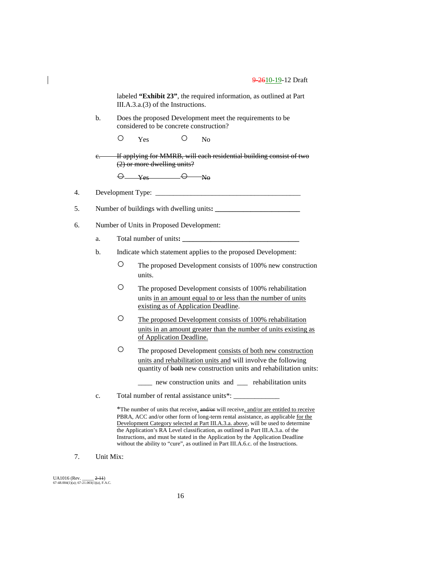labeled **"Exhibit 23"**, the required information, as outlined at Part III.A.3.a.(3) of the Instructions.

b. Does the proposed Development meet the requirements to be considered to be concrete construction?

O Yes O No

If applying for MMRB, will each residential building consist of two (2) or more dwelling units?

 $\Theta$  Yes  $\Theta$  No

4. Development Type:  $\_\_$ 

5. Number of buildings with dwelling units:

- 6. Number of Units in Proposed Development:
	- a. Total number of units**: \_\_\_\_\_\_\_\_\_\_\_\_\_\_\_\_\_\_\_\_\_\_\_\_\_\_\_\_\_\_\_\_\_**
	- b. Indicate which statement applies to the proposed Development:
		- The proposed Development consists of 100% new construction units.
		- The proposed Development consists of 100% rehabilitation units in an amount equal to or less than the number of units existing as of Application Deadline.
		- The proposed Development consists of 100% rehabilitation units in an amount greater than the number of units existing as of Application Deadline.
		- The proposed Development consists of both new construction units and rehabilitation units and will involve the following quantity of both new construction units and rehabilitation units:
			- \_\_\_\_ new construction units and \_\_\_ rehabilitation units
	- c. Total number of rental assistance units\*: \_\_\_\_\_\_\_\_\_\_\_\_\_\_\_\_\_\_\_\_\_\_\_\_\_\_\_\_\_\_\_\_\_\_\_

\*The number of units that receive, and/or will receive, and/or are entitled to receive PBRA, ACC and/or other form of long-term rental assistance, as applicable for the Development Category selected at Part III.A.3.a. above, will be used to determine the Application's RA Level classification, as outlined in Part III.A.3.a. of the Instructions, and must be stated in the Application by the Application Deadline without the ability to "cure", as outlined in Part III.A.6.c. of the Instructions.

7. Unit Mix: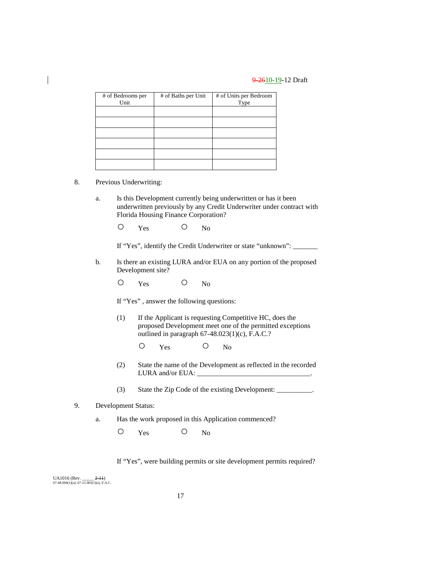| # of Bedrooms per<br>Unit | # of Baths per Unit | # of Units per Bedroom<br>Type |
|---------------------------|---------------------|--------------------------------|
|                           |                     |                                |
|                           |                     |                                |
|                           |                     |                                |
|                           |                     |                                |
|                           |                     |                                |
|                           |                     |                                |

- 8. Previous Underwriting:
	- a. Is this Development currently being underwritten or has it been underwritten previously by any Credit Underwriter under contract with Florida Housing Finance Corporation?
		- O Yes O No

If "Yes", identify the Credit Underwriter or state "unknown": \_\_\_\_\_\_\_

- b. Is there an existing LURA and/or EUA on any portion of the proposed Development site?
	- O Yes O No

If "Yes" , answer the following questions:

- (1) If the Applicant is requesting Competitive HC, does the proposed Development meet one of the permitted exceptions outlined in paragraph 67-48.023(1)(c), F.A.C.?
	- O Yes O No
- (2) State the name of the Development as reflected in the recorded LURA and/or EUA:
- (3) State the Zip Code of the existing Development:
- 9. Development Status:
	- a. Has the work proposed in this Application commenced?

O Yes O No

If "Yes", were building permits or site development permits required?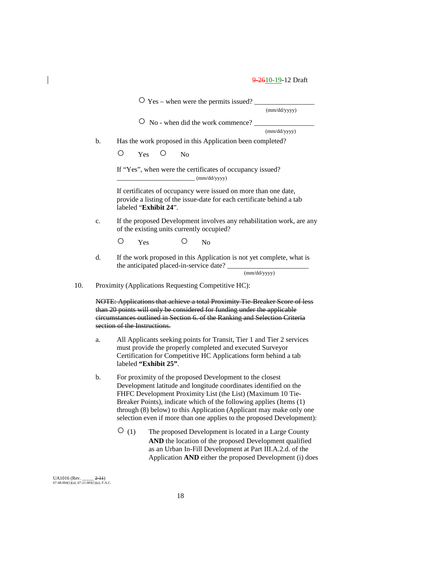$\overline{O}$  Yes – when were the permits issued? (mm/dd/yyyy)  $\circ$  No - when did the work commence? (mm/dd/yyyy) b. Has the work proposed in this Application been completed? O Yes O No If "Yes", when were the certificates of occupancy issued?  $\_$  (mm/dd/yyyy) If certificates of occupancy were issued on more than one date, provide a listing of the issue-date for each certificate behind a tab labeled "**Exhibit 24**". c. If the proposed Development involves any rehabilitation work, are any of the existing units currently occupied? O Yes O No d. If the work proposed in this Application is not yet complete, what is the anticipated placed-in-service date? (mm/dd/yyyy) 10. Proximity (Applications Requesting Competitive HC): NOTE: Applications that achieve a total Proximity Tie-Breaker Score of less than 20 points will only be considered for funding under the applicable circumstances outlined in Section 6. of the Ranking and Selection Criteria section of the Instructions. a. All Applicants seeking points for Transit, Tier 1 and Tier 2 services must provide the properly completed and executed Surveyor Certification for Competitive HC Applications form behind a tab labeled **"Exhibit 25"**. b. For proximity of the proposed Development to the closest Development latitude and longitude coordinates identified on the FHFC Development Proximity List (the List) (Maximum 10 Tie-Breaker Points), indicate which of the following applies (Items (1) through (8) below) to this Application (Applicant may make only one selection even if more than one applies to the proposed Development): ○ (1) The proposed Development is located in a Large County **AND** the location of the proposed Development qualified as an Urban In-Fill Development at Part III.A.2.d. of the Application **AND** either the proposed Development (i) does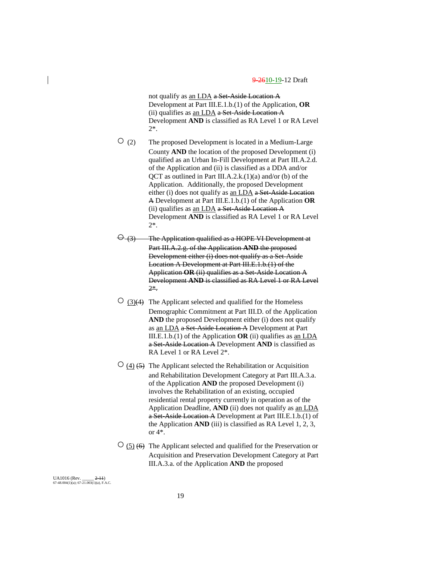not qualify as an LDA a Set-Aside Location A Development at Part III.E.1.b.(1) of the Application, **OR** (ii) qualifies as an LDA  $a$  Set-Aside Location A Development **AND** is classified as RA Level 1 or RA Level 2\*.

- $\overline{O}$  (2) The proposed Development is located in a Medium-Large County **AND** the location of the proposed Development (i) qualified as an Urban In-Fill Development at Part III.A.2.d. of the Application and (ii) is classified as a DDA and/or QCT as outlined in Part III.A.2.k.(1)(a) and/or (b) of the Application. Additionally, the proposed Development either (i) does not qualify as an LDA a Set-Aside Location A Development at Part III.E.1.b.(1) of the Application **OR** (ii) qualifies as an LDA a Set-Aside Location A Development **AND** is classified as RA Level 1 or RA Level 2\*.
- $\Theta$  (3) The Application qualified as a HOPE VI Development at Part III.A.2.g. of the Application **AND** the proposed Development either (i) does not qualify as a Set-Aside Location A Development at Part III.E.1.b.(1) of the Application **OR** (ii) qualifies as a Set-Aside Location A Development **AND** is classified as RA Level 1 or RA Level 2\*.
- $\circ$  (3) $\leftrightarrow$  The Applicant selected and qualified for the Homeless Demographic Commitment at Part III.D. of the Application **AND** the proposed Development either (i) does not qualify as an LDA a Set-Aside Location A Development at Part III.E.1.b.(1) of the Application **OR** (ii) qualifies as an LDA a Set-Aside Location A Development **AND** is classified as RA Level 1 or RA Level 2\*.
- $\circ$  (4) (5) The Applicant selected the Rehabilitation or Acquisition and Rehabilitation Development Category at Part III.A.3.a. of the Application **AND** the proposed Development (i) involves the Rehabilitation of an existing, occupied residential rental property currently in operation as of the Application Deadline, **AND** (ii) does not qualify as an LDA a Set-Aside Location A Development at Part III.E.1.b.(1) of the Application **AND** (iii) is classified as RA Level 1, 2, 3, or 4\*.
- $\circ$  (5) (6) The Applicant selected and qualified for the Preservation or Acquisition and Preservation Development Category at Part III.A.3.a. of the Application **AND** the proposed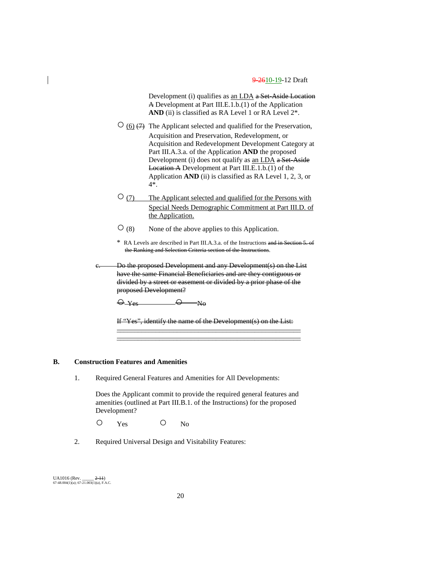Development (i) qualifies as an LDA a Set-Aside Location A Development at Part III.E.1.b.(1) of the Application AND (ii) is classified as RA Level 1 or RA Level  $2^*$ .

- $\circ$  (6)  $(7)$  The Applicant selected and qualified for the Preservation, Acquisition and Preservation, Redevelopment, or Acquisition and Redevelopment Development Category at Part III.A.3.a. of the Application **AND** the proposed Development (i) does not qualify as an LDA a Set-Aside Location A Development at Part III.E.1.b.(1) of the Application **AND** (ii) is classified as RA Level 1, 2, 3, or 4\*.
- ○(7) The Applicant selected and qualified for the Persons with Special Needs Demographic Commitment at Part III.D. of the Application.
- $\overline{O}(8)$  None of the above applies to this Application.
- \* RA Levels are described in Part III.A.3.a. of the Instructions and in Section 5. of the Ranking and Selection Criteria section of the Instructions.
- Do the proposed Development and any Development(s) on the List have the same Financial Beneficiaries and are they contiguous or divided by a street or easement or divided by a prior phase of the proposed Development?

 $\Theta$ -Yes  $\Theta$  No

If "Yes", identify the name of the Development(s) on the List: \_\_\_\_\_\_\_\_\_\_\_\_\_\_\_\_\_\_\_\_\_\_\_\_\_\_\_\_\_\_\_\_\_\_\_\_\_\_\_\_\_\_\_\_\_\_\_\_\_\_\_\_

\_\_\_\_\_\_\_\_\_\_\_\_\_\_\_\_\_\_\_\_\_\_\_\_\_\_\_\_\_\_\_\_\_\_\_\_\_\_\_\_\_\_\_\_\_\_\_\_\_\_\_\_

## **B. Construction Features and Amenities**

1. Required General Features and Amenities for All Developments:

Does the Applicant commit to provide the required general features and amenities (outlined at Part III.B.1. of the Instructions) for the proposed Development?

O Yes O No

2. Required Universal Design and Visitability Features: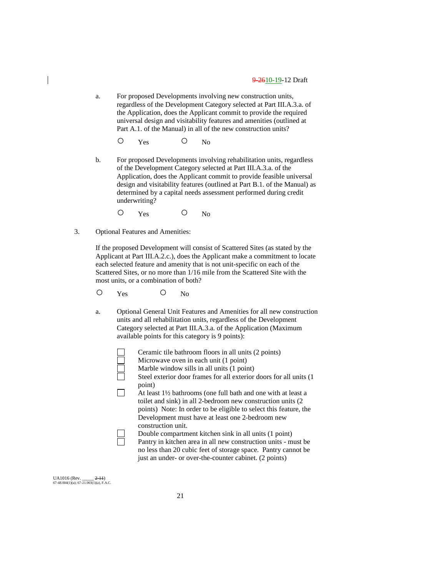- a. For proposed Developments involving new construction units, regardless of the Development Category selected at Part III.A.3.a. of the Application, does the Applicant commit to provide the required universal design and visitability features and amenities (outlined at Part A.1. of the Manual) in all of the new construction units?
	- O Yes O No
- b. For proposed Developments involving rehabilitation units, regardless of the Development Category selected at Part III.A.3.a. of the Application, does the Applicant commit to provide feasible universal design and visitability features (outlined at Part B.1. of the Manual) as determined by a capital needs assessment performed during credit underwriting?
	- O Yes O No
- 3. Optional Features and Amenities:

If the proposed Development will consist of Scattered Sites (as stated by the Applicant at Part III.A.2.c.), does the Applicant make a commitment to locate each selected feature and amenity that is not unit-specific on each of the Scattered Sites, or no more than 1/16 mile from the Scattered Site with the most units, or a combination of both?

O Yes O No

 $\Box$ 

a. Optional General Unit Features and Amenities for all new construction units and all rehabilitation units, regardless of the Development Category selected at Part III.A.3.a. of the Application (Maximum available points for this category is 9 points):

Ceramic tile bathroom floors in all units (2 points)

| Ceranne the bathroom hoors in all units ( $\angle$ points)               |
|--------------------------------------------------------------------------|
| Microwave oven in each unit (1 point)                                    |
| Marble window sills in all units (1 point)                               |
| Steel exterior door frames for all exterior doors for all units (1       |
| point)                                                                   |
| At least $1\frac{1}{2}$ bathrooms (one full bath and one with at least a |
| toilet and sink) in all 2-bedroom new construction units (2)             |
| points) Note: In order to be eligible to select this feature, the        |
| Development must have at least one 2-bedroom new                         |
| construction unit.                                                       |
| Double compartment kitchen sink in all units (1 point)                   |
| Pantry in kitchen area in all new construction units - must be           |
| no less than 20 cubic feet of storage space. Pantry cannot be            |
| just an under- or over-the-counter cabinet. (2 points)                   |
|                                                                          |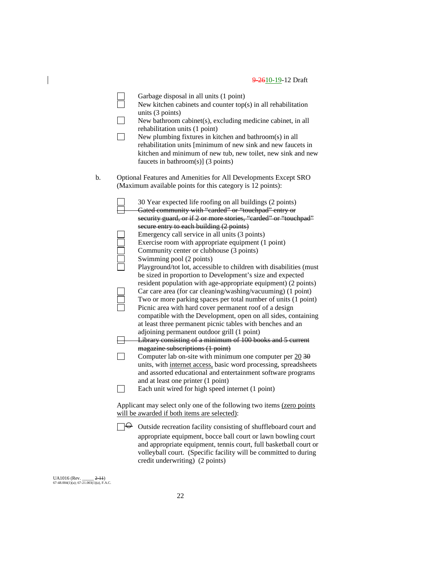|    | Garbage disposal in all units (1 point)<br>New kitchen cabinets and counter $top(s)$ in all rehabilitation<br>units (3 points)<br>New bathroom cabinet(s), excluding medicine cabinet, in all<br>rehabilitation units (1 point)<br>New plumbing fixtures in kitchen and bathroom(s) in all<br>rehabilitation units [minimum of new sink and new faucets in<br>kitchen and minimum of new tub, new toilet, new sink and new<br>faucets in bathroom(s)] $(3 \text{ points})$ |
|----|----------------------------------------------------------------------------------------------------------------------------------------------------------------------------------------------------------------------------------------------------------------------------------------------------------------------------------------------------------------------------------------------------------------------------------------------------------------------------|
| b. | Optional Features and Amenities for All Developments Except SRO<br>(Maximum available points for this category is 12 points):                                                                                                                                                                                                                                                                                                                                              |
|    | 30 Year expected life roofing on all buildings (2 points)<br>Gated community with "carded" or "touchpad" entry or<br>security guard, or if 2 or more stories, "carded" or "touchpad"                                                                                                                                                                                                                                                                                       |
|    | secure entry to each building (2 points)<br>Emergency call service in all units (3 points)<br>Exercise room with appropriate equipment (1 point)<br>Community center or clubhouse (3 points)<br>Swimming pool (2 points)                                                                                                                                                                                                                                                   |
|    | Playground/tot lot, accessible to children with disabilities (must<br>be sized in proportion to Development's size and expected<br>resident population with age-appropriate equipment) (2 points)                                                                                                                                                                                                                                                                          |
|    | Car care area (for car cleaning/washing/vacuuming) (1 point)<br>Two or more parking spaces per total number of units (1 point)<br>Picnic area with hard cover permanent roof of a design<br>compatible with the Development, open on all sides, containing                                                                                                                                                                                                                 |
|    | at least three permanent picnic tables with benches and an<br>adjoining permanent outdoor grill (1 point)<br>Library consisting of a minimum of 100 books and 5 current                                                                                                                                                                                                                                                                                                    |
|    | magazine subscriptions (1 point)<br>Computer lab on-site with minimum one computer per $20\overline{30}$<br>units, with internet access, basic word processing, spreadsheets<br>and assorted educational and entertainment software programs                                                                                                                                                                                                                               |
|    | and at least one printer (1 point)<br>Each unit wired for high speed internet (1 point)                                                                                                                                                                                                                                                                                                                                                                                    |
|    | Applicant may select only one of the following two items (zero points<br>will be awarded if both items are selected):                                                                                                                                                                                                                                                                                                                                                      |
|    | $\Theta$ Outside recreation facility consisting of shuffleboard court and<br>appropriate equipment, bocce ball court or lawn bowling court<br>and appropriate equipment, tennis court, full basketball court or                                                                                                                                                                                                                                                            |

volleyball court. (Specific facility will be committed to during

UA1016 (Rev. \_\_\_\_\_ <del>2-11</del>)<br>67-48.004(1)(a); 67-21.003(1)(a), F.A.C.

 $\overline{\phantom{a}}$ 

credit underwriting) (2 points)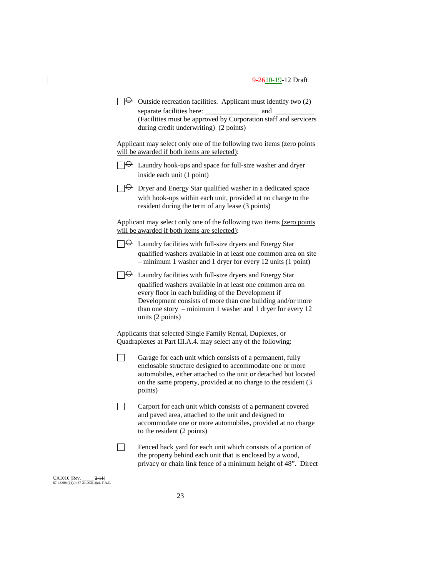$\Box \Theta$  Outside recreation facilities. Applicant must identify two (2) separate facilities here: \_\_\_\_\_\_\_\_\_\_\_\_\_\_\_ and \_\_\_\_\_\_\_\_\_\_\_ (Facilities must be approved by Corporation staff and servicers during credit underwriting) (2 points)

Applicant may select only one of the following two items (zero points will be awarded if both items are selected):

 $\Box \Theta$  Laundry hook-ups and space for full-size washer and dryer inside each unit (1 point)

 $\Box \Theta$  Dryer and Energy Star qualified washer in a dedicated space with hook-ups within each unit, provided at no charge to the resident during the term of any lease (3 points)

Applicant may select only one of the following two items (zero points will be awarded if both items are selected):

- $\Box \Theta$  Laundry facilities with full-size dryers and Energy Star qualified washers available in at least one common area on site – minimum 1 washer and 1 dryer for every 12 units (1 point)
- $\Box \Theta$  Laundry facilities with full-size dryers and Energy Star qualified washers available in at least one common area on every floor in each building of the Development if Development consists of more than one building and/or more than one story – minimum 1 washer and 1 dryer for every 12 units (2 points)

Applicants that selected Single Family Rental, Duplexes, or Quadraplexes at Part III.A.4. may select any of the following:

- П Garage for each unit which consists of a permanent, fully enclosable structure designed to accommodate one or more automobiles, either attached to the unit or detached but located on the same property, provided at no charge to the resident (3 points)
- $\Box$ Carport for each unit which consists of a permanent covered and paved area, attached to the unit and designed to accommodate one or more automobiles, provided at no charge to the resident (2 points)
	- Fenced back yard for each unit which consists of a portion of the property behind each unit that is enclosed by a wood, privacy or chain link fence of a minimum height of 48". Direct

UA1016 (Rev. \_\_\_\_\_ 2-11) 67-48.004(1)(a); 67-21.003(1)(a), F.A.C. П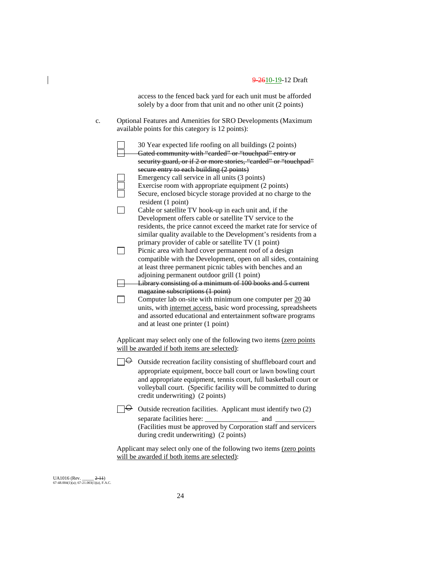access to the fenced back yard for each unit must be afforded solely by a door from that unit and no other unit (2 points)

c. Optional Features and Amenities for SRO Developments (Maximum available points for this category is 12 points):

|                          | 30 Year expected life roofing on all buildings (2 points)                           |
|--------------------------|-------------------------------------------------------------------------------------|
|                          | Gated community with "carded" or "touchpad" entry or                                |
|                          | security guard, or if 2 or more stories, "carded" or "touchpad"                     |
|                          | secure entry to each building (2 points)                                            |
|                          | Emergency call service in all units (3 points)                                      |
|                          | Exercise room with appropriate equipment (2 points)                                 |
|                          | Secure, enclosed bicycle storage provided at no charge to the<br>resident (1 point) |
|                          | Cable or satellite TV hook-up in each unit and, if the                              |
|                          | Development offers cable or satellite TV service to the                             |
|                          | residents, the price cannot exceed the market rate for service of                   |
|                          | similar quality available to the Development's residents from a                     |
|                          | primary provider of cable or satellite TV (1 point)                                 |
|                          | Picnic area with hard cover permanent roof of a design                              |
|                          | compatible with the Development, open on all sides, containing                      |
|                          | at least three permanent picnic tables with benches and an                          |
|                          | adjoining permanent outdoor grill (1 point)                                         |
|                          | Library consisting of a minimum of 100 books and 5 current                          |
|                          | magazine subscriptions (1 point)                                                    |
|                          | Computer lab on-site with minimum one computer per $20\overline{30}$                |
|                          | units, with internet access, basic word processing, spreadsheets                    |
|                          | and assorted educational and entertainment software programs                        |
|                          | and at least one printer (1 point)                                                  |
|                          |                                                                                     |
|                          | Applicant may select only one of the following two items (zero points               |
|                          | will be awarded if both items are selected):                                        |
| မ⊢                       | Outside recreation facility consisting of shuffleboard court and                    |
|                          | appropriate equipment, bocce ball court or lawn bowling court                       |
|                          | and appropriate equipment, tennis court, full basketball court or                   |
|                          | volleyball court. (Specific facility will be committed to during                    |
|                          | credit underwriting) (2 points)                                                     |
| $\overline{\phantom{a}}$ | Outside recreation facilities. Applicant must identify two (2)                      |
|                          | and                                                                                 |
|                          | (Facilities must be approved by Corporation staff and servicers                     |
|                          | during credit underwriting) (2 points)                                              |

Applicant may select only one of the following two items (zero points will be awarded if both items are selected):

UA1016 (Rev. \_\_\_\_\_ <del>2-11</del>)<br>67-48.004(1)(a); 67-21.003(1)(a), F.A.C.

 $\overline{\phantom{a}}$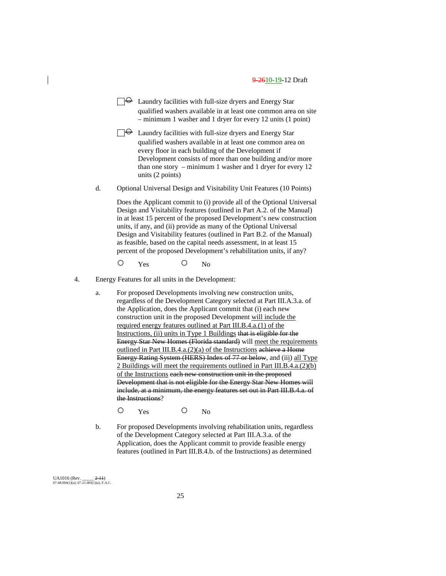$\Box \Theta$  Laundry facilities with full-size dryers and Energy Star qualified washers available in at least one common area on site – minimum 1 washer and 1 dryer for every 12 units (1 point)

 $\Box \Theta$  Laundry facilities with full-size dryers and Energy Star qualified washers available in at least one common area on every floor in each building of the Development if Development consists of more than one building and/or more than one story – minimum 1 washer and 1 dryer for every 12 units (2 points)

d. Optional Universal Design and Visitability Unit Features (10 Points)

Does the Applicant commit to (i) provide all of the Optional Universal Design and Visitability features (outlined in Part A.2. of the Manual) in at least 15 percent of the proposed Development's new construction units, if any, and (ii) provide as many of the Optional Universal Design and Visitability features (outlined in Part B.2. of the Manual) as feasible, based on the capital needs assessment, in at least 15 percent of the proposed Development's rehabilitation units, if any?

O Yes O No

- 4. Energy Features for all units in the Development:
	- a. For proposed Developments involving new construction units, regardless of the Development Category selected at Part III.A.3.a. of the Application, does the Applicant commit that (i) each new construction unit in the proposed Development will include the required energy features outlined at Part III.B.4.a.(1) of the Instructions, (ii) units in Type 1 Buildings that is eligible for the Energy Star New Homes (Florida standard) will meet the requirements outlined in Part III.B.4.a.(2)(a) of the Instructions achieve a Home Energy Rating System (HERS) Index of 77 or below, and (iii) all Type 2 Buildings will meet the requirements outlined in Part III.B.4.a.(2)(b) of the Instructions each new construction unit in the proposed Development that is not eligible for the Energy Star New Homes will include, at a minimum, the energy features set out in Part III.B.4.a. of the Instructions?
		- O Yes O No
	- b. For proposed Developments involving rehabilitation units, regardless of the Development Category selected at Part III.A.3.a. of the Application, does the Applicant commit to provide feasible energy features (outlined in Part III.B.4.b. of the Instructions) as determined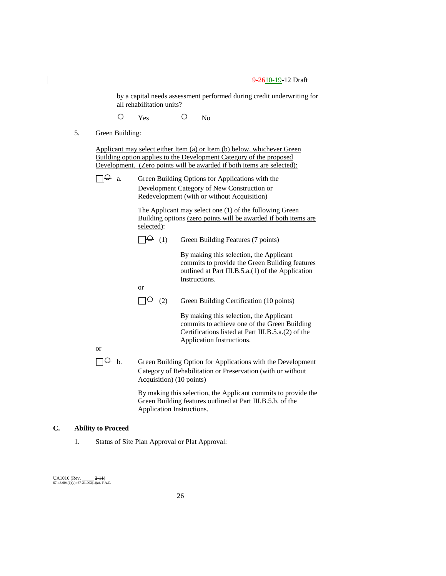by a capital needs assessment performed during credit underwriting for all rehabilitation units?

O Yes O No

5. Green Building:

Applicant may select either Item (a) or Item (b) below, whichever Green Building option applies to the Development Category of the proposed Development. (Zero points will be awarded if both items are selected):

 $\Box \Theta$  a. Green Building Options for Applications with the Development Category of New Construction or Redevelopment (with or without Acquisition)

> The Applicant may select one (1) of the following Green Building options (zero points will be awarded if both items are selected):

 $\Box \Theta$  (1) Green Building Features (7 points)

By making this selection, the Applicant commits to provide the Green Building features outlined at Part III.B.5.a.(1) of the Application Instructions.

or

 $\Box \Theta$  (2) Green Building Certification (10 points)

By making this selection, the Applicant commits to achieve one of the Green Building Certifications listed at Part III.B.5.a.(2) of the Application Instructions.

or

 $\Box \Theta$  b. Green Building Option for Applications with the Development Category of Rehabilitation or Preservation (with or without Acquisition) (10 points)

> By making this selection, the Applicant commits to provide the Green Building features outlined at Part III.B.5.b. of the Application Instructions.

## **C. Ability to Proceed**

1. Status of Site Plan Approval or Plat Approval: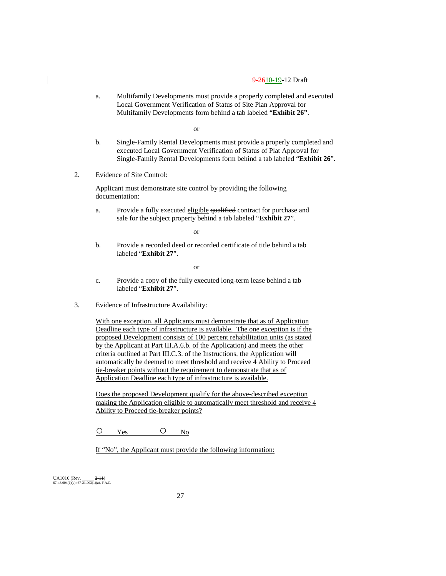a. Multifamily Developments must provide a properly completed and executed Local Government Verification of Status of Site Plan Approval for Multifamily Developments form behind a tab labeled "**Exhibit 26"**.

or

- b. Single-Family Rental Developments must provide a properly completed and executed Local Government Verification of Status of Plat Approval for Single-Family Rental Developments form behind a tab labeled "**Exhibit 26**".
- 2. Evidence of Site Control:

Applicant must demonstrate site control by providing the following documentation:

a. Provide a fully executed eligible qualified contract for purchase and sale for the subject property behind a tab labeled "**Exhibit 27**".

or

b. Provide a recorded deed or recorded certificate of title behind a tab labeled "**Exhibit 27**".

or

- c. Provide a copy of the fully executed long-term lease behind a tab labeled "**Exhibit 27**".
- 3. Evidence of Infrastructure Availability:

With one exception, all Applicants must demonstrate that as of Application Deadline each type of infrastructure is available. The one exception is if the proposed Development consists of 100 percent rehabilitation units (as stated by the Applicant at Part III.A.6.b. of the Application) and meets the other criteria outlined at Part III.C.3. of the Instructions, the Application will automatically be deemed to meet threshold and receive 4 Ability to Proceed tie-breaker points without the requirement to demonstrate that as of Application Deadline each type of infrastructure is available.

Does the proposed Development qualify for the above-described exception making the Application eligible to automatically meet threshold and receive 4 Ability to Proceed tie-breaker points?

O Yes O No

If "No", the Applicant must provide the following information: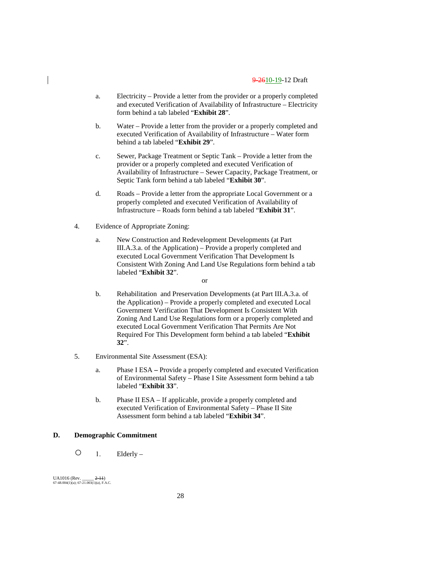- a. Electricity Provide a letter from the provider or a properly completed and executed Verification of Availability of Infrastructure – Electricity form behind a tab labeled "**Exhibit 28**".
- b. Water Provide a letter from the provider or a properly completed and executed Verification of Availability of Infrastructure – Water form behind a tab labeled "**Exhibit 29**".
- c. Sewer, Package Treatment or Septic Tank Provide a letter from the provider or a properly completed and executed Verification of Availability of Infrastructure – Sewer Capacity, Package Treatment, or Septic Tank form behind a tab labeled "**Exhibit 30**".
- d. Roads Provide a letter from the appropriate Local Government or a properly completed and executed Verification of Availability of Infrastructure – Roads form behind a tab labeled "**Exhibit 31**".
- 4. Evidence of Appropriate Zoning:
	- a. New Construction and Redevelopment Developments (at Part III.A.3.a. of the Application) – Provide a properly completed and executed Local Government Verification That Development Is Consistent With Zoning And Land Use Regulations form behind a tab labeled "**Exhibit 32**".

or

- b. Rehabilitation and Preservation Developments (at Part III.A.3.a. of the Application) – Provide a properly completed and executed Local Government Verification That Development Is Consistent With Zoning And Land Use Regulations form or a properly completed and executed Local Government Verification That Permits Are Not Required For This Development form behind a tab labeled "**Exhibit 32**".
- 5. Environmental Site Assessment (ESA):
	- a. Phase I ESA **–** Provide a properly completed and executed Verification of Environmental Safety – Phase I Site Assessment form behind a tab labeled "**Exhibit 33**".
	- b. Phase II ESA If applicable, provide a properly completed and executed Verification of Environmental Safety – Phase II Site Assessment form behind a tab labeled "**Exhibit 34**".

## **D. Demographic Commitment**

 $O_1$ . Elderly –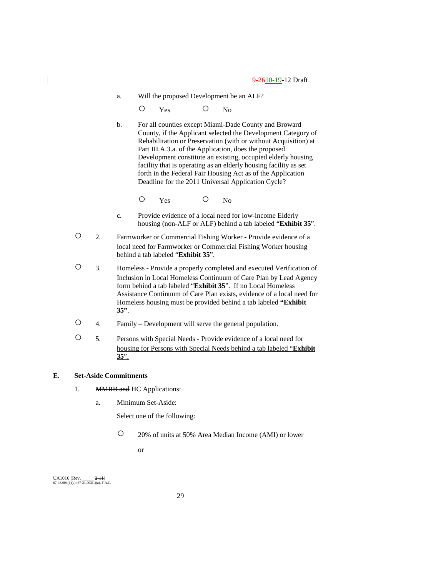a. Will the proposed Development be an ALF?

O Yes O No

b. For all counties except Miami-Dade County and Broward County, if the Applicant selected the Development Category of Rehabilitation or Preservation (with or without Acquisition) at Part III.A.3.a. of the Application, does the proposed Development constitute an existing, occupied elderly housing facility that is operating as an elderly housing facility as set forth in the Federal Fair Housing Act as of the Application Deadline for the 2011 Universal Application Cycle?

O Yes O No

- c. Provide evidence of a local need for low-income Elderly housing (non-ALF or ALF) behind a tab labeled "**Exhibit 35**".
- 2. Farmworker or Commercial Fishing Worker Provide evidence of a local need for Farmworker or Commercial Fishing Worker housing behind a tab labeled "**Exhibit 35**".
- 3. Homeless Provide a properly completed and executed Verification of Inclusion in Local Homeless Continuum of Care Plan by Lead Agency form behind a tab labeled "**Exhibit 35**". If no Local Homeless Assistance Continuum of Care Plan exists, evidence of a local need for Homeless housing must be provided behind a tab labeled **"Exhibit 35"**.
- 4. Family Development will serve the general population.
- 5. Persons with Special Needs Provide evidence of a local need for housing for Persons with Special Needs behind a tab labeled "**Exhibit 35**".

## **E. Set-Aside Commitments**

- 1. MMRB and HC Applications:
	- a. Minimum Set-Aside:

Select one of the following:

○ 20% of units at 50% Area Median Income (AMI) or lower

or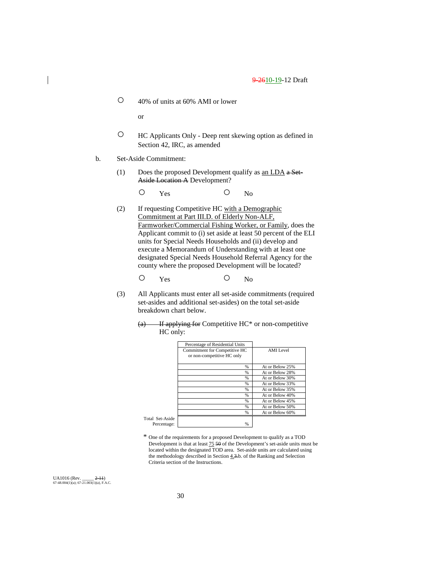○ 40% of units at 60% AMI or lower

or

- HC Applicants Only Deep rent skewing option as defined in Section 42, IRC, as amended
- b. Set-Aside Commitment:
	- (1) Does the proposed Development qualify as an LDA a Set-Aside Location A Development?

O Yes O No

(2) If requesting Competitive HC with a Demographic Commitment at Part III.D. of Elderly Non-ALF, Farmworker/Commercial Fishing Worker, or Family, does the Applicant commit to (i) set aside at least 50 percent of the ELI units for Special Needs Households and (ii) develop and execute a Memorandum of Understanding with at least one designated Special Needs Household Referral Agency for the county where the proposed Development will be located?

$$
\begin{matrix} \bigcirc \qquad \quad \ \ \, \text{Yes} \qquad \qquad \ \ \, \bigcirc \qquad \quad \ \, \text{No} \end{matrix}
$$

- (3) All Applicants must enter all set-aside commitments (required set-asides and additional set-asides) on the total set-aside breakdown chart below.
	- $(a)$  If applying for Competitive HC\* or non-competitive HC only:

|                 | Percentage of Residential Units                             |                 |
|-----------------|-------------------------------------------------------------|-----------------|
|                 | Commitment for Competitive HC<br>or non-competitive HC only | AMI Level       |
|                 |                                                             |                 |
|                 | $\frac{9}{6}$                                               | At or Below 25% |
|                 | $\frac{0}{0}$                                               | At or Below 28% |
|                 | $\frac{0}{0}$                                               | At or Below 30% |
|                 | $\frac{9}{6}$                                               | At or Below 33% |
|                 | %                                                           | At or Below 35% |
|                 | %                                                           | At or Below 40% |
|                 | $\frac{9}{6}$                                               | At or Below 45% |
|                 | $\frac{9}{6}$                                               | At or Below 50% |
|                 | $\frac{9}{6}$                                               | At or Below 60% |
| Total Set-Aside |                                                             |                 |
| Percentage:     | %                                                           |                 |

\* One of the requirements for a proposed Development to qualify as a TOD Development is that at least  $\frac{75}{50}$  of the Development's set-aside units must be located within the designated TOD area. Set-aside units are calculated using the methodology described in Section  $4.3$ .b. of the Ranking and Selection Criteria section of the Instructions.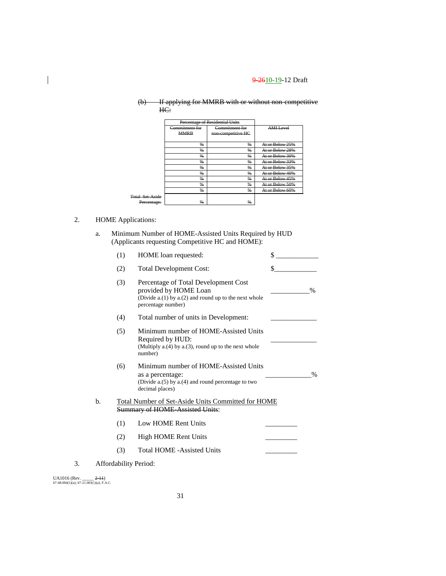| ውን       |     | If applying for MMPR with or without non-competitive         |  |
|----------|-----|--------------------------------------------------------------|--|
| $\sigma$ |     | <u>n apprymg for wiwiki widi of without holf competitive</u> |  |
|          | HC: |                                                              |  |

|                        | Percentage of Residential Units |                                      |                  |
|------------------------|---------------------------------|--------------------------------------|------------------|
|                        | Commitment for<br><b>MMRB</b>   | Commitment for<br>non-competitive HC | <b>AMI</b> Level |
|                        | %                               | %                                    | At or Below 25%  |
|                        | $\frac{9}{6}$                   | $\frac{9}{6}$                        | At or Below 28%  |
|                        | %                               | $\frac{0}{n}$                        | At or Below 30%  |
|                        | %                               | %                                    | At or Below 33%  |
|                        | $\frac{9}{6}$                   | $\frac{9}{6}$                        | At or Below 35%  |
|                        | $\frac{9}{6}$                   | $\frac{9}{6}$                        | At or Below 40%  |
|                        | $\frac{0}{n}$                   | $\frac{0}{n}$                        | At or Below 45%  |
|                        | %                               | $\frac{0}{n}$                        | At or Below 50%  |
|                        | %                               | %                                    | At or Below 60%  |
| <b>Total Set-Aside</b> |                                 |                                      |                  |
| Percentage:            | $\frac{96}{2}$                  | %                                    |                  |

## 2. HOME Applications:

 $\overline{\phantom{a}}$ 

a. Minimum Number of HOME-Assisted Units Required by HUD (Applicants requesting Competitive HC and HOME):

|    |    | (1) | HOME loan requested:                                                                                                                           | \$            |
|----|----|-----|------------------------------------------------------------------------------------------------------------------------------------------------|---------------|
|    |    | (2) | <b>Total Development Cost:</b>                                                                                                                 | \$            |
|    |    | (3) | Percentage of Total Development Cost<br>provided by HOME Loan<br>(Divide $a(1)$ by $a(2)$ and round up to the next whole<br>percentage number) | $\frac{0}{0}$ |
|    |    | (4) | Total number of units in Development:                                                                                                          |               |
|    |    | (5) | Minimum number of HOME-Assisted Units<br>Required by HUD:<br>(Multiply $a(4)$ by $a(3)$ , round up to the next whole<br>number)                |               |
|    |    | (6) | Minimum number of HOME-Assisted Units<br>as a percentage:<br>(Divide a.(5) by a.(4) and round percentage to two<br>decimal places)             | $\frac{0}{0}$ |
|    | b. |     | Total Number of Set-Aside Units Committed for HOME<br><b>Summary of HOME Assisted Units:</b>                                                   |               |
|    |    | (1) | Low HOME Rent Units                                                                                                                            |               |
|    |    | (2) | High HOME Rent Units                                                                                                                           |               |
|    |    | (3) | <b>Total HOME -Assisted Units</b>                                                                                                              |               |
| 3. |    |     | Affordability Period:                                                                                                                          |               |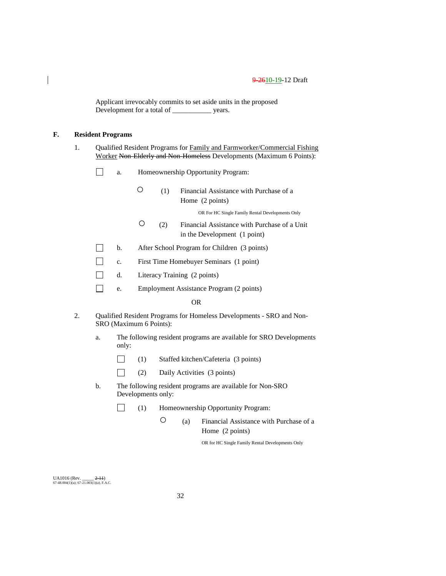Applicant irrevocably commits to set aside units in the proposed Development for a total of \_\_\_\_\_\_\_\_\_\_\_ years.

## **F. Resident Programs**

1. Qualified Resident Programs for Family and Farmworker/Commercial Fishing Worker Non-Elderly and Non-Homeless Developments (Maximum 6 Points):

- $\Box$ a. Homeownership Opportunity Program:
	- (1) Financial Assistance with Purchase of a Home (2 points)

OR For HC Single Family Rental Developments Only

- (2) Financial Assistance with Purchase of a Unit in the Development (1 point)
- $\Box$ b. After School Program for Children (3 points)
- $\Box$ c. First Time Homebuyer Seminars (1 point)
- $\Box$ d. Literacy Training (2 points)
- $\Box$ e. Employment Assistance Program (2 points)

#### OR

- 2. Qualified Resident Programs for Homeless Developments SRO and Non-SRO (Maximum 6 Points):
	- a. The following resident programs are available for SRO Developments only:
		- $\Box$ (1) Staffed kitchen/Cafeteria (3 points)
		- $\Box$ (2) Daily Activities (3 points)
	- b. The following resident programs are available for Non-SRO Developments only:
		- $\Box$ (1) Homeownership Opportunity Program:
			- (a) Financial Assistance with Purchase of a Home (2 points)

OR for HC Single Family Rental Developments Only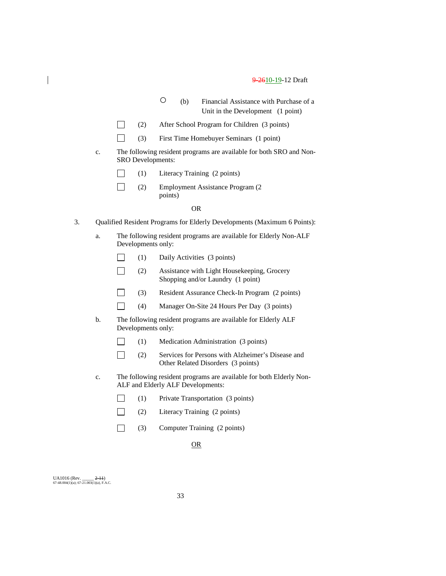- (b) Financial Assistance with Purchase of a Unit in the Development (1 point)
- $\Box$ (2) After School Program for Children (3 points)
- $\Box$ (3) First Time Homebuyer Seminars (1 point)
- c. The following resident programs are available for both SRO and Non-SRO Developments:
	- (1) Literacy Training (2 points) П
	- $\Box$ (2) Employment Assistance Program (2 points)

#### OR

- 3. Qualified Resident Programs for Elderly Developments (Maximum 6 Points):
	- a. The following resident programs are available for Elderly Non-ALF Developments only:
		- П (1) Daily Activities (3 points)
		- $\Box$ (2) Assistance with Light Housekeeping, Grocery Shopping and/or Laundry (1 point)
		- $\Box$ (3) Resident Assurance Check-In Program (2 points)
		- $\Box$ (4) Manager On-Site 24 Hours Per Day (3 points)
	- b. The following resident programs are available for Elderly ALF Developments only:
		- $\Box$ (1) Medication Administration (3 points)
		- $\Box$ (2) Services for Persons with Alzheimer's Disease and Other Related Disorders (3 points)
	- c. The following resident programs are available for both Elderly Non-ALF and Elderly ALF Developments:
		- $\Box$ (1) Private Transportation (3 points)
		- $\Box$ (2) Literacy Training (2 points)
		- $\Box$ (3) Computer Training (2 points)

## OR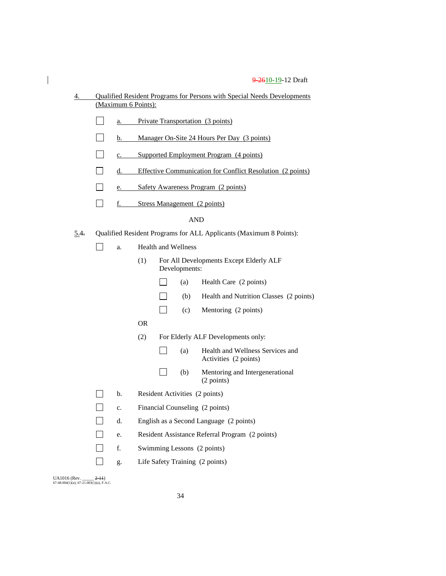| 4.   |                                         |    |                                             | Qualified Resident Programs for Persons with Special Needs Developments |                            |                                                                    |
|------|-----------------------------------------|----|---------------------------------------------|-------------------------------------------------------------------------|----------------------------|--------------------------------------------------------------------|
|      | (Maximum 6 Points):                     |    |                                             |                                                                         |                            |                                                                    |
|      | Private Transportation (3 points)<br>a. |    |                                             |                                                                         |                            |                                                                    |
|      |                                         | b. | Manager On-Site 24 Hours Per Day (3 points) |                                                                         |                            |                                                                    |
|      | $\blacksquare$                          | c. |                                             | Supported Employment Program (4 points)                                 |                            |                                                                    |
|      |                                         | d. |                                             | Effective Communication for Conflict Resolution (2 points)              |                            |                                                                    |
|      |                                         | e. |                                             |                                                                         |                            | Safety Awareness Program (2 points)                                |
|      |                                         | f. |                                             |                                                                         |                            | <b>Stress Management</b> (2 points)                                |
|      |                                         |    |                                             |                                                                         |                            | AND                                                                |
| 5.4. |                                         |    |                                             |                                                                         |                            | Qualified Resident Programs for ALL Applicants (Maximum 8 Points): |
|      |                                         | a. |                                             |                                                                         | <b>Health and Wellness</b> |                                                                    |
|      |                                         |    | (1)                                         |                                                                         | Developments:              | For All Developments Except Elderly ALF                            |
|      |                                         |    |                                             |                                                                         | (a)                        | Health Care (2 points)                                             |
|      |                                         |    |                                             |                                                                         | (b)                        | Health and Nutrition Classes (2 points)                            |
|      |                                         |    |                                             |                                                                         | (c)                        | Mentoring (2 points)                                               |
|      |                                         |    | OR.                                         |                                                                         |                            |                                                                    |
|      |                                         |    | (2)                                         |                                                                         |                            | For Elderly ALF Developments only:                                 |
|      |                                         |    |                                             |                                                                         | (a)                        | Health and Wellness Services and<br>Activities (2 points)          |
|      |                                         |    |                                             |                                                                         | (b)                        | Mentoring and Intergenerational<br>(2 points)                      |
|      |                                         | b. |                                             |                                                                         |                            | Resident Activities (2 points)                                     |
|      |                                         | c. |                                             |                                                                         |                            | Financial Counseling (2 points)                                    |
|      |                                         | d. |                                             |                                                                         |                            | English as a Second Language (2 points)                            |
|      |                                         | e. |                                             |                                                                         |                            | Resident Assistance Referral Program (2 points)                    |
|      |                                         | f. |                                             |                                                                         |                            | Swimming Lessons (2 points)                                        |
|      |                                         | g. |                                             |                                                                         |                            | Life Safety Training (2 points)                                    |

UA1016 (Rev. \_\_\_\_\_ <del>2-11</del>)<br>67-48.004(1)(a); 67-21.003(1)(a), F.A.C.

 $\begin{array}{c} \hline \end{array}$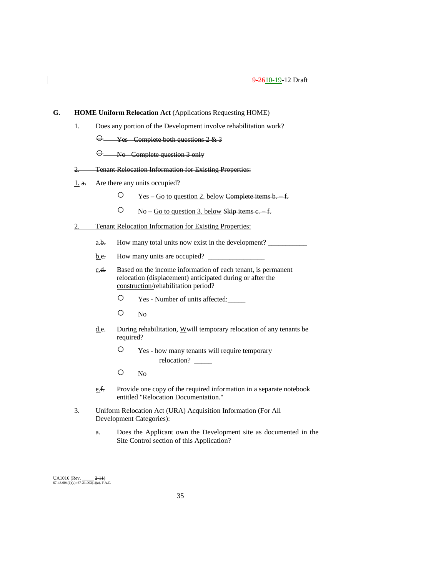|       |                               | <b>HOME Uniform Relocation Act (Applications Requesting HOME)</b>                                                                                                |  |  |  |
|-------|-------------------------------|------------------------------------------------------------------------------------------------------------------------------------------------------------------|--|--|--|
| $+$   |                               | Does any portion of the Development involve rehabilitation work?                                                                                                 |  |  |  |
|       |                               | $\Theta$ Yes - Complete both questions 2 & 3                                                                                                                     |  |  |  |
|       |                               | $\Theta$ No Complete question 3 only                                                                                                                             |  |  |  |
| $2 -$ |                               | <b>Tenant Relocation Information for Existing Properties:</b>                                                                                                    |  |  |  |
| 1. a. | Are there any units occupied? |                                                                                                                                                                  |  |  |  |
|       |                               | Ő<br>Yes – Go to question 2. below Complete items b. f.                                                                                                          |  |  |  |
|       |                               | O.<br>$No - Go$ to question 3. below Skip items e. f.                                                                                                            |  |  |  |
| 2.    |                               | <b>Tenant Relocation Information for Existing Properties:</b>                                                                                                    |  |  |  |
|       | <u>a.b.</u>                   | How many total units now exist in the development?                                                                                                               |  |  |  |
|       | b.e.                          | How many units are occupied?                                                                                                                                     |  |  |  |
|       | <u>c.d.</u>                   | Based on the income information of each tenant, is permanent<br>relocation (displacement) anticipated during or after the<br>construction/rehabilitation period? |  |  |  |
|       |                               | $\bigcirc$<br>Yes - Number of units affected:                                                                                                                    |  |  |  |
|       |                               | $\bigcirc$<br>N <sub>o</sub>                                                                                                                                     |  |  |  |
|       | d.e.                          | During rehabilitation, Wwill temporary relocation of any tenants be<br>required?                                                                                 |  |  |  |
|       |                               | $\bigcirc$<br>Yes - how many tenants will require temporary                                                                                                      |  |  |  |
|       |                               | O<br>N <sub>o</sub>                                                                                                                                              |  |  |  |
|       | <u>e.f.</u>                   | Provide one copy of the required information in a separate notebook<br>entitled "Relocation Documentation."                                                      |  |  |  |
| 3.    |                               | Uniform Relocation Act (URA) Acquisition Information (For All<br>Development Categories):                                                                        |  |  |  |
|       | a.                            | Does the Applicant own the Development site as documented in the<br>Site Control section of this Application?                                                    |  |  |  |

UA1016 (Rev. \_\_\_\_\_ <del>2-11</del>)<br>67-48.004(1)(a); 67-21.003(1)(a), F.A.C.

 $\overline{\phantom{a}}$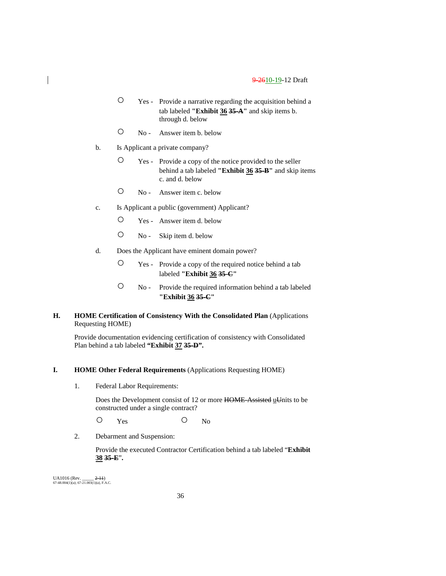- Yes Provide a narrative regarding the acquisition behind a tab labeled **"Exhibit 36 35-A"** and skip items b. through d. below
- No Answer item b. below
- b. Is Applicant a private company?
	- Yes Provide a copy of the notice provided to the seller behind a tab labeled **"Exhibit 36 35-B"** and skip items c. and d. below
	- No Answer item c. below
- c. Is Applicant a public (government) Applicant?
	- Yes Answer item d. below
	- No Skip item d. below
- d. Does the Applicant have eminent domain power?
	- Yes Provide a copy of the required notice behind a tab labeled **"Exhibit 36 35-C"**
	- No Provide the required information behind a tab labeled **"Exhibit 36 35-C"**

## **H. HOME Certification of Consistency With the Consolidated Plan** (Applications Requesting HOME)

Provide documentation evidencing certification of consistency with Consolidated Plan behind a tab labeled **"Exhibit 37 35-D".**

#### **I. HOME Other Federal Requirements** (Applications Requesting HOME)

1. Federal Labor Requirements:

Does the Development consist of 12 or more HOME-Assisted uUnits to be constructed under a single contract?

O Yes O No

2. Debarment and Suspension:

Provide the executed Contractor Certification behind a tab labeled "**Exhibit 38 35-E**"**.**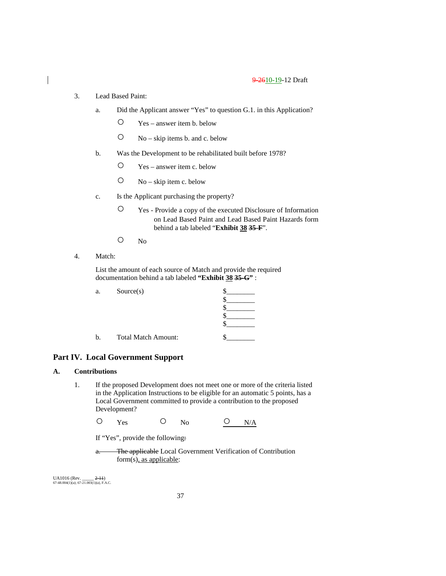- 3. Lead Based Paint:
	- a. Did the Applicant answer "Yes" to question G.1. in this Application?
		- Yes answer item b. below
		- No skip items b. and c. below
	- b. Was the Development to be rehabilitated built before 1978?
		- Yes answer item c. below
		- $O$  No skip item c. below
	- c. Is the Applicant purchasing the property?
		- Yes Provide a copy of the executed Disclosure of Information on Lead Based Paint and Lead Based Paint Hazards form behind a tab labeled "**Exhibit 38 35-F**".
		- No
- 4. Match:

List the amount of each source of Match and provide the required documentation behind a tab labeled **"Exhibit 38 35-G"** :

| a. | Source(s)                  |  |
|----|----------------------------|--|
|    |                            |  |
|    |                            |  |
|    |                            |  |
|    |                            |  |
| b. | <b>Total Match Amount:</b> |  |

## **Part IV. Local Government Support**

## **A. Contributions**

1. If the proposed Development does not meet one or more of the criteria listed in the Application Instructions to be eligible for an automatic 5 points, has a Local Government committed to provide a contribution to the proposed Development?

O Yes O No <u>O N/A</u>

If "Yes", provide the following:

a. The applicable Local Government Verification of Contribution form(s), as applicable: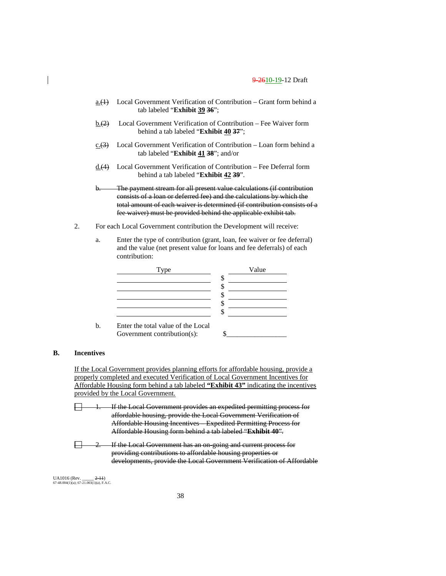- a. $(1)$  Local Government Verification of Contribution Grant form behind a tab labeled "**Exhibit 39 36**";
- $\underline{b.(2)}$  Local Government Verification of Contribution Fee Waiver form behind a tab labeled "**Exhibit 40 37**";
- c. $(3)$  Local Government Verification of Contribution Loan form behind a tab labeled "**Exhibit 41 38**"; and/or
- d.(4) Local Government Verification of Contribution Fee Deferral form behind a tab labeled "**Exhibit 42 39**".

b. The payment stream for all present value calculations (if contribution consists of a loan or deferred fee) and the calculations by which the total amount of each waiver is determined (if contribution consists of a fee waiver) must be provided behind the applicable exhibit tab.

- 2. For each Local Government contribution the Development will receive:
	- a. Enter the type of contribution (grant, loan, fee waiver or fee deferral) and the value (net present value for loans and fee deferrals) of each contribution:



b. Enter the total value of the Local Government contribution(s): \$\_\_\_\_\_\_\_\_\_\_\_\_\_\_\_\_\_

## **B. Incentives**

If the Local Government provides planning efforts for affordable housing, provide a properly completed and executed Verification of Local Government Incentives for Affordable Housing form behind a tab labeled **"Exhibit 43"** indicating the incentives provided by the Local Government.

If the Local Government provides an expedited permitting process for affordable housing, provide the Local Government Verification of Affordable Housing Incentives – Expedited Permitting Process for Affordable Housing form behind a tab labeled "**Exhibit 40**".

戸 If the Local Government has an on-going and current process for providing contributions to affordable housing properties or developments, provide the Local Government Verification of Affordable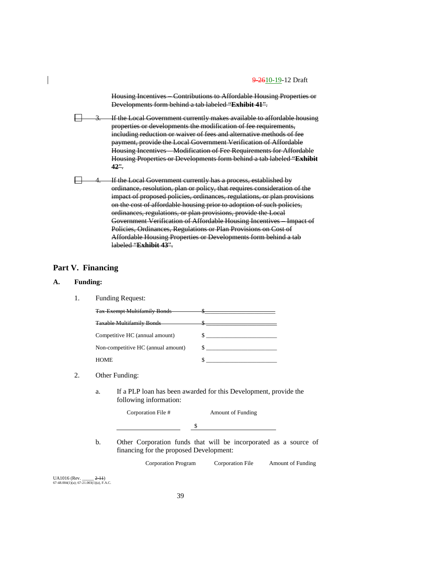Housing Incentives – Contributions to Affordable Housing Properties or Developments form behind a tab labeled "**Exhibit 41**".

If the Local Government currently makes available to affordable housing properties or developments the modification of fee requirements, including reduction or waiver of fees and alternative methods of fee payment, provide the Local Government Verification of Affordable Housing Incentives – Modification of Fee Requirements for Affordable Housing Properties or Developments form behind a tab labeled "**Exhibit 42**".

If the Local Government currently has a process, established by ordinance, resolution, plan or policy, that requires consideration of the impact of proposed policies, ordinances, regulations, or plan provisions on the cost of affordable housing prior to adoption of such policies, ordinances, regulations, or plan provisions, provide the Local Government Verification of Affordable Housing Incentives – Impact of Policies, Ordinances, Regulations or Plan Provisions on Cost of Affordable Housing Properties or Developments form behind a tab labeled "**Exhibit 43**".

## **Part V. Financing**

## **A. Funding:**

一

1. Funding Request:

| <b>Tax Exempt Multifamily Bonds</b> |    |
|-------------------------------------|----|
| <b>Taxable Multifamily Bonds</b>    | u. |
| Competitive HC (annual amount)      |    |
| Non-competitive HC (annual amount)  |    |
| <b>HOME</b>                         |    |

#### 2. Other Funding:

a. If a PLP loan has been awarded for this Development, provide the following information:

|    | Corporation File #                      | <b>Amount of Funding</b>                                         |
|----|-----------------------------------------|------------------------------------------------------------------|
|    |                                         |                                                                  |
| b. | financing for the proposed Development: | Other Corporation funds that will be incorporated as a source of |

financing for the proposed Development:

Corporation Program Corporation File Amount of Funding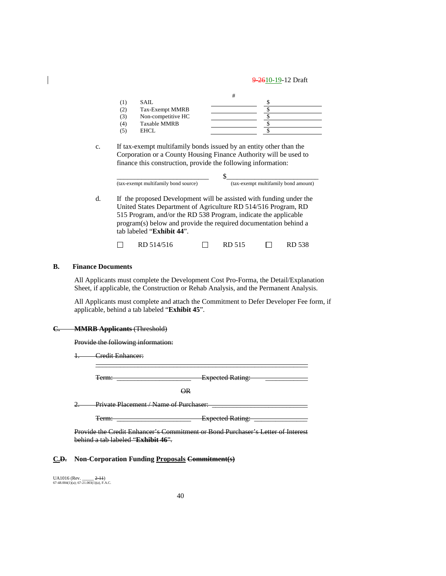|     | <b>SAIL</b>         |  |
|-----|---------------------|--|
|     | Tax-Exempt MMRB     |  |
| (3) | Non-competitive HC  |  |
| (4) | <b>Taxable MMRB</b> |  |
|     | EHCL.               |  |

c. If tax-exempt multifamily bonds issued by an entity other than the Corporation or a County Housing Finance Authority will be used to finance this construction, provide the following information:

| (tax-exempt multifamily bond source) | (tax-exempt multifamily bond amount) |
|--------------------------------------|--------------------------------------|

d. If the proposed Development will be assisted with funding under the United States Department of Agriculture RD 514/516 Program, RD 515 Program, and/or the RD 538 Program, indicate the applicable program(s) below and provide the required documentation behind a tab labeled "**Exhibit 44**".

| RD 514/516<br>$\Box$ RD 515 |  |  |  |  |  | <b>RD 538</b> |
|-----------------------------|--|--|--|--|--|---------------|
|-----------------------------|--|--|--|--|--|---------------|

#### **B. Finance Documents**

All Applicants must complete the Development Cost Pro-Forma, the Detail/Explanation Sheet, if applicable, the Construction or Rehab Analysis, and the Permanent Analysis.

All Applicants must complete and attach the Commitment to Defer Developer Fee form, if applicable, behind a tab labeled "**Exhibit 45**".

\_\_\_\_\_\_\_\_\_\_\_\_\_\_\_\_\_\_\_\_\_\_\_\_\_\_\_\_\_\_\_\_\_\_\_\_\_\_\_\_\_\_\_\_\_\_\_\_\_\_\_\_\_\_\_\_\_\_\_\_

## **C. MMRB Applicants** (Threshold)

Provide the following information:

1. Credit Enhancer:

Term: Term: **Expected Rating:** 

OR

2. Private Placement / Name of Purchaser:

Term: \_\_\_\_\_\_\_\_\_\_\_\_\_\_\_\_\_\_\_\_\_\_\_\_\_\_\_ Expected Rating: \_\_\_\_\_\_\_\_\_\_

Provide the Credit Enhancer's Commitment or Bond Purchaser's Letter of Interest behind a tab labeled "**Exhibit 46**".

#### **C.D. Non-Corporation Funding Proposals Commitment(s)**